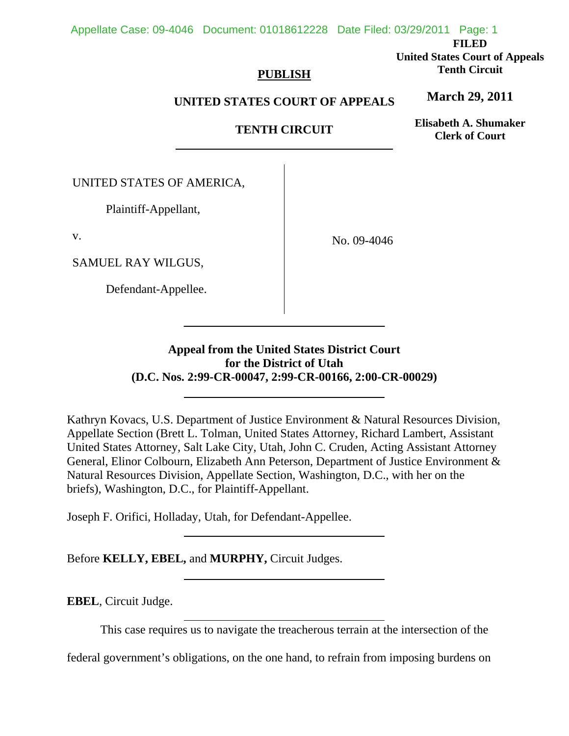#### Appellate Case: 09-4046 Document: 01018612228 Date Filed: 03/29/2011 Page: 1

**FILED** 

**United States Court of Appeals Tenth Circuit** 

# **PUBLISH**

# **UNITED STATES COURT OF APPEALS**

# **TENTH CIRCUIT**

**Elisabeth A. Shumaker Clerk of Court**

**March 29, 2011**

UNITED STATES OF AMERICA,

Plaintiff-Appellant,

v.

SAMUEL RAY WILGUS,

Defendant-Appellee.

 $\overline{a}$ 

No. 09-4046

# **Appeal from the United States District Court for the District of Utah (D.C. Nos. 2:99-CR-00047, 2:99-CR-00166, 2:00-CR-00029)**

Kathryn Kovacs, U.S. Department of Justice Environment & Natural Resources Division, Appellate Section (Brett L. Tolman, United States Attorney, Richard Lambert, Assistant United States Attorney, Salt Lake City, Utah, John C. Cruden, Acting Assistant Attorney General, Elinor Colbourn, Elizabeth Ann Peterson, Department of Justice Environment & Natural Resources Division, Appellate Section, Washington, D.C., with her on the briefs), Washington, D.C., for Plaintiff-Appellant.

Joseph F. Orifici, Holladay, Utah, for Defendant-Appellee.

Before **KELLY, EBEL,** and **MURPHY,** Circuit Judges.

 $\overline{a}$ 

 $\overline{a}$ 

**EBEL**, Circuit Judge.

This case requires us to navigate the treacherous terrain at the intersection of the

federal government's obligations, on the one hand, to refrain from imposing burdens on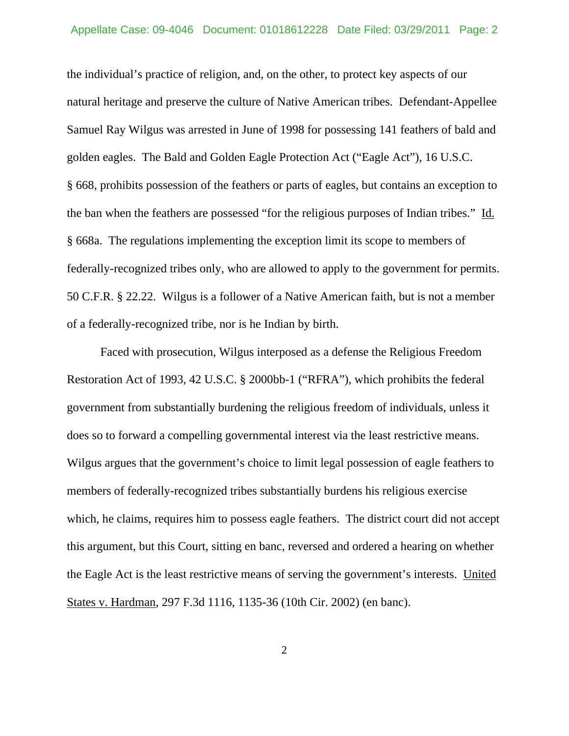the individual's practice of religion, and, on the other, to protect key aspects of our natural heritage and preserve the culture of Native American tribes. Defendant-Appellee Samuel Ray Wilgus was arrested in June of 1998 for possessing 141 feathers of bald and golden eagles. The Bald and Golden Eagle Protection Act ("Eagle Act"), 16 U.S.C. § 668, prohibits possession of the feathers or parts of eagles, but contains an exception to the ban when the feathers are possessed "for the religious purposes of Indian tribes." Id. § 668a. The regulations implementing the exception limit its scope to members of federally-recognized tribes only, who are allowed to apply to the government for permits. 50 C.F.R. § 22.22. Wilgus is a follower of a Native American faith, but is not a member of a federally-recognized tribe, nor is he Indian by birth.

 Faced with prosecution, Wilgus interposed as a defense the Religious Freedom Restoration Act of 1993, 42 U.S.C. § 2000bb-1 ("RFRA"), which prohibits the federal government from substantially burdening the religious freedom of individuals, unless it does so to forward a compelling governmental interest via the least restrictive means. Wilgus argues that the government's choice to limit legal possession of eagle feathers to members of federally-recognized tribes substantially burdens his religious exercise which, he claims, requires him to possess eagle feathers. The district court did not accept this argument, but this Court, sitting en banc, reversed and ordered a hearing on whether the Eagle Act is the least restrictive means of serving the government's interests. United States v. Hardman, 297 F.3d 1116, 1135-36 (10th Cir. 2002) (en banc).

2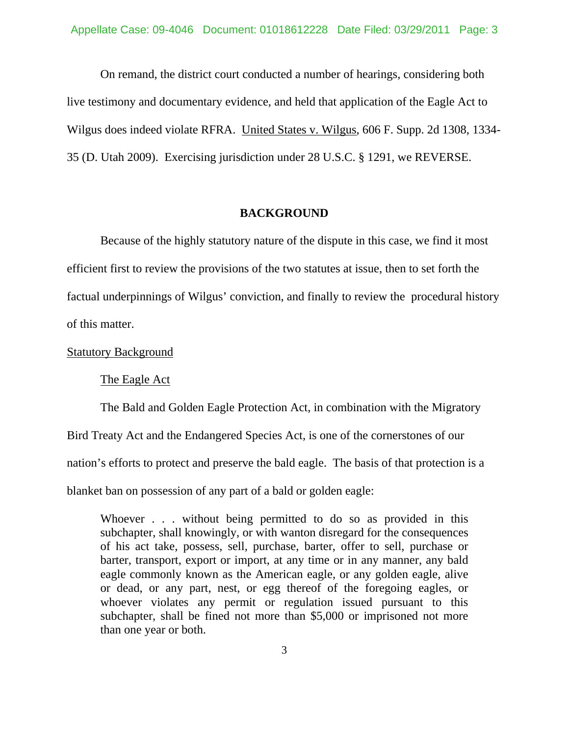On remand, the district court conducted a number of hearings, considering both live testimony and documentary evidence, and held that application of the Eagle Act to Wilgus does indeed violate RFRA. United States v. Wilgus, 606 F. Supp. 2d 1308, 1334- 35 (D. Utah 2009). Exercising jurisdiction under 28 U.S.C. § 1291, we REVERSE.

#### **BACKGROUND**

 Because of the highly statutory nature of the dispute in this case, we find it most efficient first to review the provisions of the two statutes at issue, then to set forth the factual underpinnings of Wilgus' conviction, and finally to review the procedural history of this matter.

#### Statutory Background

The Eagle Act

 The Bald and Golden Eagle Protection Act, in combination with the Migratory Bird Treaty Act and the Endangered Species Act, is one of the cornerstones of our nation's efforts to protect and preserve the bald eagle. The basis of that protection is a

blanket ban on possession of any part of a bald or golden eagle:

Whoever . . . without being permitted to do so as provided in this subchapter, shall knowingly, or with wanton disregard for the consequences of his act take, possess, sell, purchase, barter, offer to sell, purchase or barter, transport, export or import, at any time or in any manner, any bald eagle commonly known as the American eagle, or any golden eagle, alive or dead, or any part, nest, or egg thereof of the foregoing eagles, or whoever violates any permit or regulation issued pursuant to this subchapter, shall be fined not more than \$5,000 or imprisoned not more than one year or both.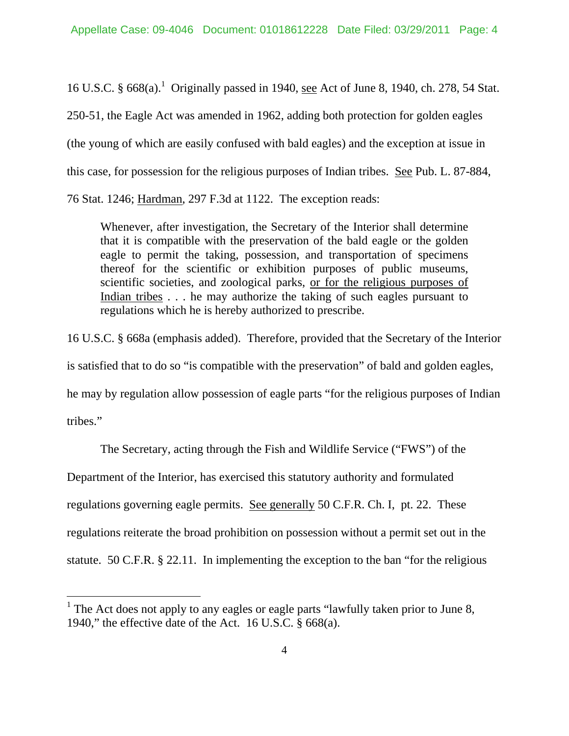16 U.S.C. § 668(a).<sup>1</sup> Originally passed in 1940, <u>see</u> Act of June 8, 1940, ch. 278, 54 Stat. 250-51, the Eagle Act was amended in 1962, adding both protection for golden eagles (the young of which are easily confused with bald eagles) and the exception at issue in this case, for possession for the religious purposes of Indian tribes. See Pub. L. 87-884, 76 Stat. 1246; Hardman, 297 F.3d at 1122. The exception reads:

Whenever, after investigation, the Secretary of the Interior shall determine that it is compatible with the preservation of the bald eagle or the golden eagle to permit the taking, possession, and transportation of specimens thereof for the scientific or exhibition purposes of public museums, scientific societies, and zoological parks, or for the religious purposes of Indian tribes . . . he may authorize the taking of such eagles pursuant to regulations which he is hereby authorized to prescribe.

16 U.S.C. § 668a (emphasis added). Therefore, provided that the Secretary of the Interior is satisfied that to do so "is compatible with the preservation" of bald and golden eagles, he may by regulation allow possession of eagle parts "for the religious purposes of Indian tribes."

 The Secretary, acting through the Fish and Wildlife Service ("FWS") of the Department of the Interior, has exercised this statutory authority and formulated regulations governing eagle permits. See generally 50 C.F.R. Ch. I, pt. 22. These regulations reiterate the broad prohibition on possession without a permit set out in the statute. 50 C.F.R. § 22.11. In implementing the exception to the ban "for the religious

 $\overline{a}$ 

<sup>&</sup>lt;sup>1</sup> The Act does not apply to any eagles or eagle parts "lawfully taken prior to June 8, 1940," the effective date of the Act. 16 U.S.C. § 668(a).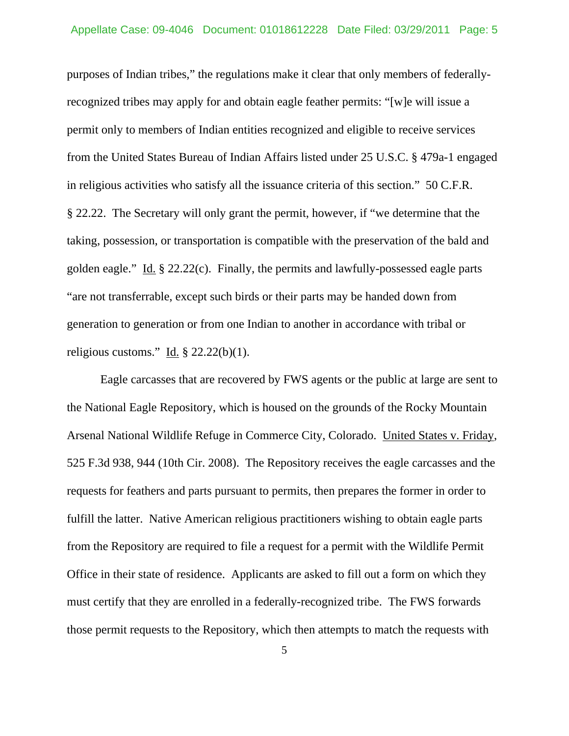purposes of Indian tribes," the regulations make it clear that only members of federallyrecognized tribes may apply for and obtain eagle feather permits: "[w]e will issue a permit only to members of Indian entities recognized and eligible to receive services from the United States Bureau of Indian Affairs listed under 25 U.S.C. § 479a-1 engaged in religious activities who satisfy all the issuance criteria of this section." 50 C.F.R. § 22.22. The Secretary will only grant the permit, however, if "we determine that the taking, possession, or transportation is compatible with the preservation of the bald and golden eagle." Id. § 22.22(c). Finally, the permits and lawfully-possessed eagle parts "are not transferrable, except such birds or their parts may be handed down from generation to generation or from one Indian to another in accordance with tribal or religious customs." Id.  $\S$  22.22(b)(1).

 Eagle carcasses that are recovered by FWS agents or the public at large are sent to the National Eagle Repository, which is housed on the grounds of the Rocky Mountain Arsenal National Wildlife Refuge in Commerce City, Colorado. United States v. Friday, 525 F.3d 938, 944 (10th Cir. 2008). The Repository receives the eagle carcasses and the requests for feathers and parts pursuant to permits, then prepares the former in order to fulfill the latter. Native American religious practitioners wishing to obtain eagle parts from the Repository are required to file a request for a permit with the Wildlife Permit Office in their state of residence. Applicants are asked to fill out a form on which they must certify that they are enrolled in a federally-recognized tribe. The FWS forwards those permit requests to the Repository, which then attempts to match the requests with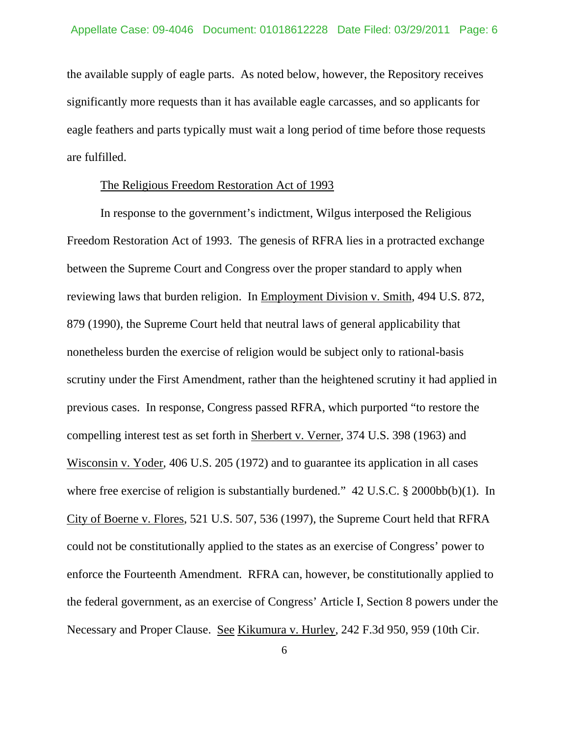the available supply of eagle parts. As noted below, however, the Repository receives significantly more requests than it has available eagle carcasses, and so applicants for eagle feathers and parts typically must wait a long period of time before those requests are fulfilled.

#### The Religious Freedom Restoration Act of 1993

 In response to the government's indictment, Wilgus interposed the Religious Freedom Restoration Act of 1993. The genesis of RFRA lies in a protracted exchange between the Supreme Court and Congress over the proper standard to apply when reviewing laws that burden religion. In Employment Division v. Smith, 494 U.S. 872, 879 (1990), the Supreme Court held that neutral laws of general applicability that nonetheless burden the exercise of religion would be subject only to rational-basis scrutiny under the First Amendment, rather than the heightened scrutiny it had applied in previous cases. In response, Congress passed RFRA, which purported "to restore the compelling interest test as set forth in Sherbert v. Verner, 374 U.S. 398 (1963) and Wisconsin v. Yoder, 406 U.S. 205 (1972) and to guarantee its application in all cases where free exercise of religion is substantially burdened."  $42 \text{ U.S.C.}$  §  $2000 \text{bb(b)}(1)$ . In City of Boerne v. Flores, 521 U.S. 507, 536 (1997), the Supreme Court held that RFRA could not be constitutionally applied to the states as an exercise of Congress' power to enforce the Fourteenth Amendment. RFRA can, however, be constitutionally applied to the federal government, as an exercise of Congress' Article I, Section 8 powers under the Necessary and Proper Clause. See Kikumura v. Hurley, 242 F.3d 950, 959 (10th Cir.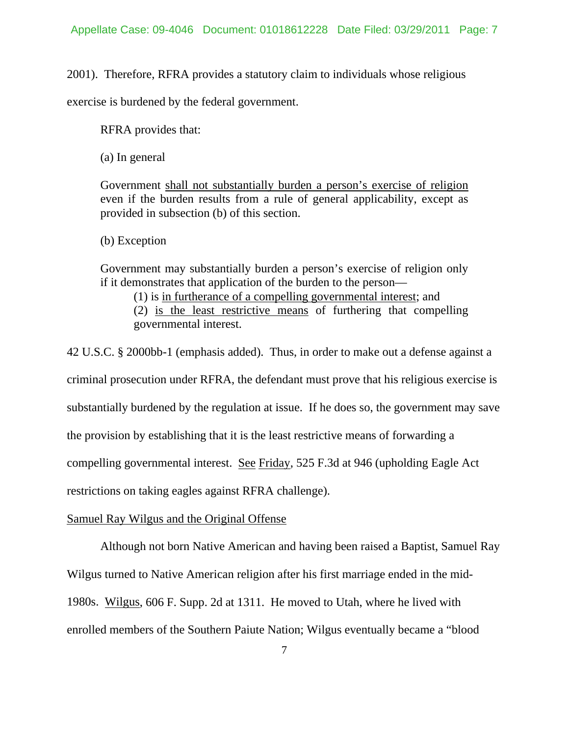2001). Therefore, RFRA provides a statutory claim to individuals whose religious

exercise is burdened by the federal government.

RFRA provides that:

(a) In general

Government shall not substantially burden a person's exercise of religion even if the burden results from a rule of general applicability, except as provided in subsection (b) of this section.

(b) Exception

Government may substantially burden a person's exercise of religion only if it demonstrates that application of the burden to the person—

(1) is in furtherance of a compelling governmental interest; and (2) is the least restrictive means of furthering that compelling governmental interest.

42 U.S.C. § 2000bb-1 (emphasis added). Thus, in order to make out a defense against a criminal prosecution under RFRA, the defendant must prove that his religious exercise is substantially burdened by the regulation at issue. If he does so, the government may save the provision by establishing that it is the least restrictive means of forwarding a compelling governmental interest. See Friday, 525 F.3d at 946 (upholding Eagle Act restrictions on taking eagles against RFRA challenge).

### Samuel Ray Wilgus and the Original Offense

 Although not born Native American and having been raised a Baptist, Samuel Ray Wilgus turned to Native American religion after his first marriage ended in the mid-1980s. Wilgus, 606 F. Supp. 2d at 1311. He moved to Utah, where he lived with enrolled members of the Southern Paiute Nation; Wilgus eventually became a "blood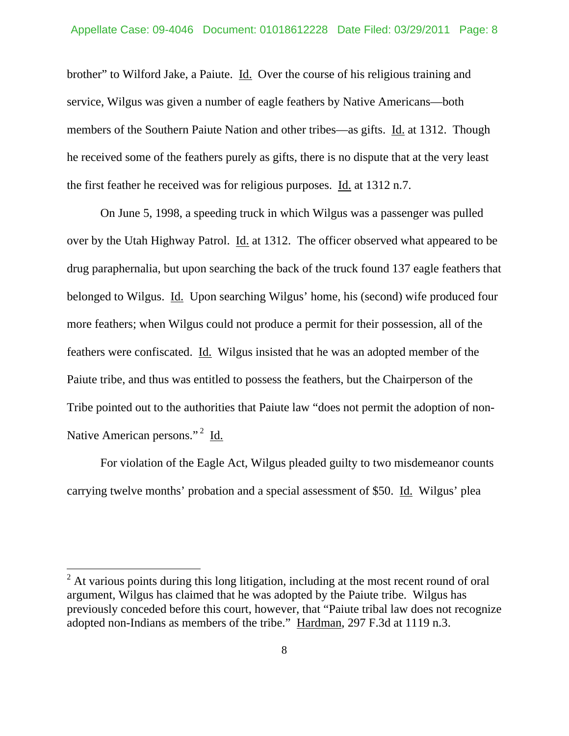brother" to Wilford Jake, a Paiute. Id. Over the course of his religious training and service, Wilgus was given a number of eagle feathers by Native Americans—both members of the Southern Paiute Nation and other tribes—as gifts. Id. at 1312. Though he received some of the feathers purely as gifts, there is no dispute that at the very least the first feather he received was for religious purposes. Id. at 1312 n.7.

 On June 5, 1998, a speeding truck in which Wilgus was a passenger was pulled over by the Utah Highway Patrol. Id. at 1312. The officer observed what appeared to be drug paraphernalia, but upon searching the back of the truck found 137 eagle feathers that belonged to Wilgus. Id. Upon searching Wilgus' home, his (second) wife produced four more feathers; when Wilgus could not produce a permit for their possession, all of the feathers were confiscated. Id. Wilgus insisted that he was an adopted member of the Paiute tribe, and thus was entitled to possess the feathers, but the Chairperson of the Tribe pointed out to the authorities that Paiute law "does not permit the adoption of non-Native American persons."<sup>2</sup> Id.

 For violation of the Eagle Act, Wilgus pleaded guilty to two misdemeanor counts carrying twelve months' probation and a special assessment of \$50. Id. Wilgus' plea

 $\overline{a}$ 

 $2<sup>2</sup>$  At various points during this long litigation, including at the most recent round of oral argument, Wilgus has claimed that he was adopted by the Paiute tribe. Wilgus has previously conceded before this court, however, that "Paiute tribal law does not recognize adopted non-Indians as members of the tribe." Hardman, 297 F.3d at 1119 n.3.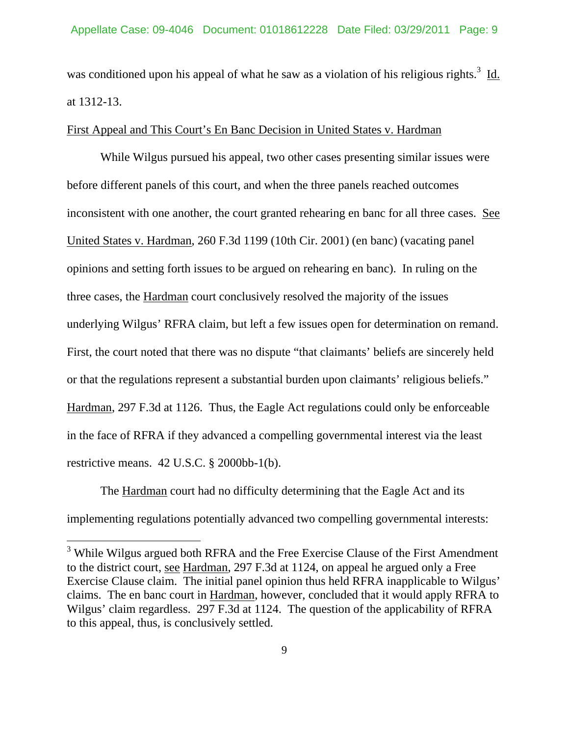was conditioned upon his appeal of what he saw as a violation of his religious rights.<sup>3</sup> Id. at 1312-13.

### First Appeal and This Court's En Banc Decision in United States v. Hardman

 While Wilgus pursued his appeal, two other cases presenting similar issues were before different panels of this court, and when the three panels reached outcomes inconsistent with one another, the court granted rehearing en banc for all three cases. See United States v. Hardman, 260 F.3d 1199 (10th Cir. 2001) (en banc) (vacating panel opinions and setting forth issues to be argued on rehearing en banc). In ruling on the three cases, the Hardman court conclusively resolved the majority of the issues underlying Wilgus' RFRA claim, but left a few issues open for determination on remand. First, the court noted that there was no dispute "that claimants' beliefs are sincerely held or that the regulations represent a substantial burden upon claimants' religious beliefs." Hardman, 297 F.3d at 1126. Thus, the Eagle Act regulations could only be enforceable in the face of RFRA if they advanced a compelling governmental interest via the least restrictive means. 42 U.S.C. § 2000bb-1(b).

 The Hardman court had no difficulty determining that the Eagle Act and its implementing regulations potentially advanced two compelling governmental interests:

 $\overline{a}$ 

<sup>&</sup>lt;sup>3</sup> While Wilgus argued both RFRA and the Free Exercise Clause of the First Amendment to the district court, see Hardman, 297 F.3d at 1124, on appeal he argued only a Free Exercise Clause claim. The initial panel opinion thus held RFRA inapplicable to Wilgus' claims. The en banc court in Hardman, however, concluded that it would apply RFRA to Wilgus' claim regardless. 297 F.3d at 1124. The question of the applicability of RFRA to this appeal, thus, is conclusively settled.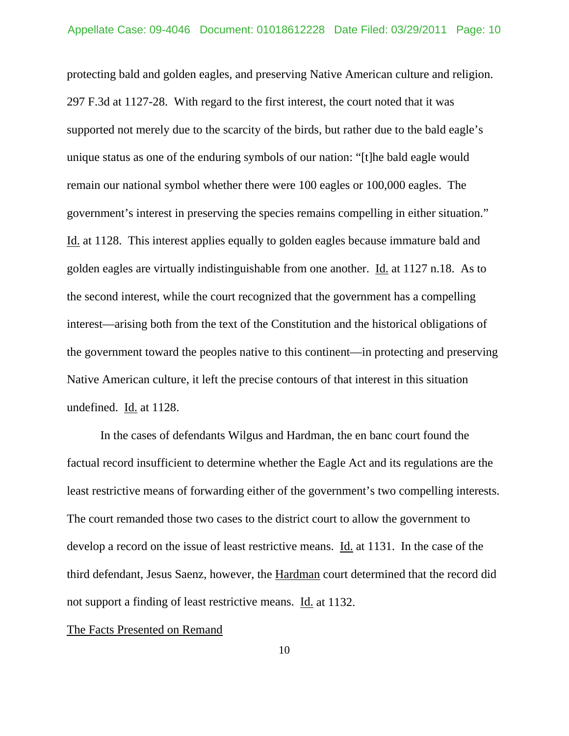protecting bald and golden eagles, and preserving Native American culture and religion. 297 F.3d at 1127-28. With regard to the first interest, the court noted that it was supported not merely due to the scarcity of the birds, but rather due to the bald eagle's unique status as one of the enduring symbols of our nation: "[t]he bald eagle would remain our national symbol whether there were 100 eagles or 100,000 eagles. The government's interest in preserving the species remains compelling in either situation." Id. at 1128. This interest applies equally to golden eagles because immature bald and golden eagles are virtually indistinguishable from one another. Id. at 1127 n.18. As to the second interest, while the court recognized that the government has a compelling interest—arising both from the text of the Constitution and the historical obligations of the government toward the peoples native to this continent—in protecting and preserving Native American culture, it left the precise contours of that interest in this situation undefined. Id. at 1128.

 In the cases of defendants Wilgus and Hardman, the en banc court found the factual record insufficient to determine whether the Eagle Act and its regulations are the least restrictive means of forwarding either of the government's two compelling interests. The court remanded those two cases to the district court to allow the government to develop a record on the issue of least restrictive means. Id. at 1131. In the case of the third defendant, Jesus Saenz, however, the Hardman court determined that the record did not support a finding of least restrictive means. Id. at 1132.

#### The Facts Presented on Remand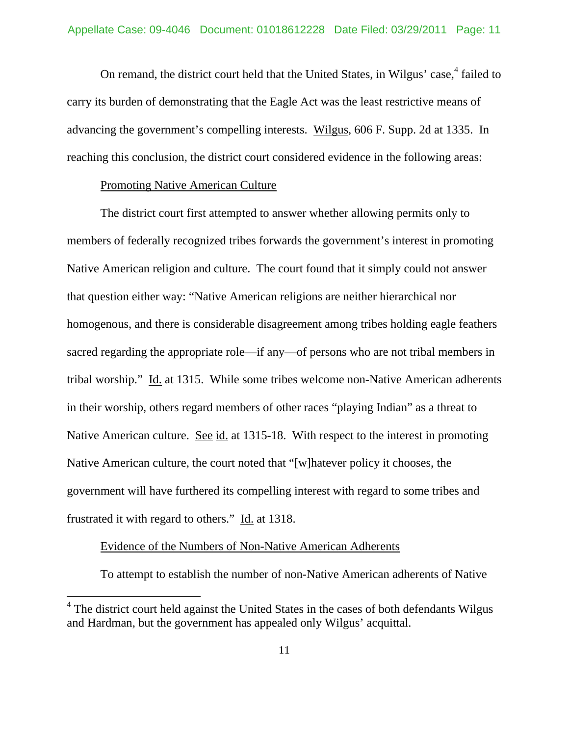On remand, the district court held that the United States, in Wilgus' case,<sup>4</sup> failed to carry its burden of demonstrating that the Eagle Act was the least restrictive means of advancing the government's compelling interests. Wilgus, 606 F. Supp. 2d at 1335. In reaching this conclusion, the district court considered evidence in the following areas:

#### Promoting Native American Culture

 The district court first attempted to answer whether allowing permits only to members of federally recognized tribes forwards the government's interest in promoting Native American religion and culture. The court found that it simply could not answer that question either way: "Native American religions are neither hierarchical nor homogenous, and there is considerable disagreement among tribes holding eagle feathers sacred regarding the appropriate role—if any—of persons who are not tribal members in tribal worship." Id. at 1315. While some tribes welcome non-Native American adherents in their worship, others regard members of other races "playing Indian" as a threat to Native American culture. See id. at 1315-18. With respect to the interest in promoting Native American culture, the court noted that "[w]hatever policy it chooses, the government will have furthered its compelling interest with regard to some tribes and frustrated it with regard to others." Id. at 1318.

### Evidence of the Numbers of Non-Native American Adherents

 $\overline{a}$ 

To attempt to establish the number of non-Native American adherents of Native

<sup>&</sup>lt;sup>4</sup> The district court held against the United States in the cases of both defendants Wilgus and Hardman, but the government has appealed only Wilgus' acquittal.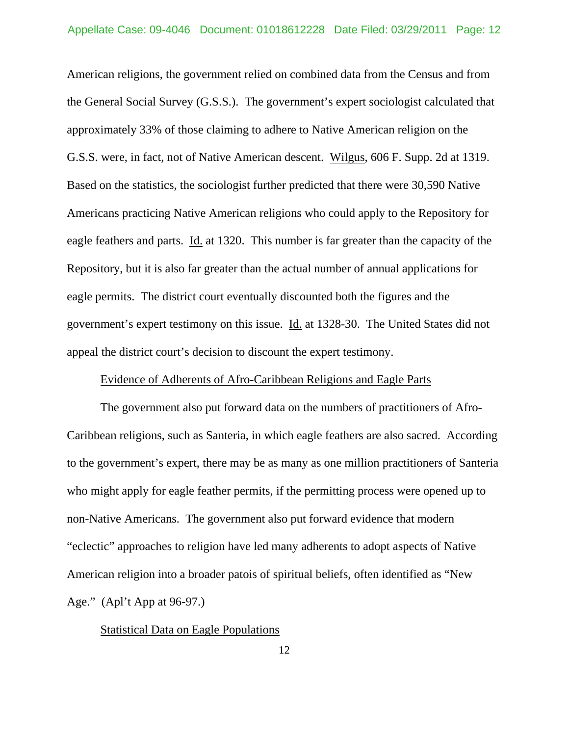American religions, the government relied on combined data from the Census and from the General Social Survey (G.S.S.). The government's expert sociologist calculated that approximately 33% of those claiming to adhere to Native American religion on the G.S.S. were, in fact, not of Native American descent. Wilgus, 606 F. Supp. 2d at 1319. Based on the statistics, the sociologist further predicted that there were 30,590 Native Americans practicing Native American religions who could apply to the Repository for eagle feathers and parts. Id. at 1320. This number is far greater than the capacity of the Repository, but it is also far greater than the actual number of annual applications for eagle permits. The district court eventually discounted both the figures and the government's expert testimony on this issue. Id. at 1328-30. The United States did not appeal the district court's decision to discount the expert testimony.

#### Evidence of Adherents of Afro-Caribbean Religions and Eagle Parts

 The government also put forward data on the numbers of practitioners of Afro-Caribbean religions, such as Santeria, in which eagle feathers are also sacred. According to the government's expert, there may be as many as one million practitioners of Santeria who might apply for eagle feather permits, if the permitting process were opened up to non-Native Americans. The government also put forward evidence that modern "eclectic" approaches to religion have led many adherents to adopt aspects of Native American religion into a broader patois of spiritual beliefs, often identified as "New Age." (Apl't App at 96-97.)

#### Statistical Data on Eagle Populations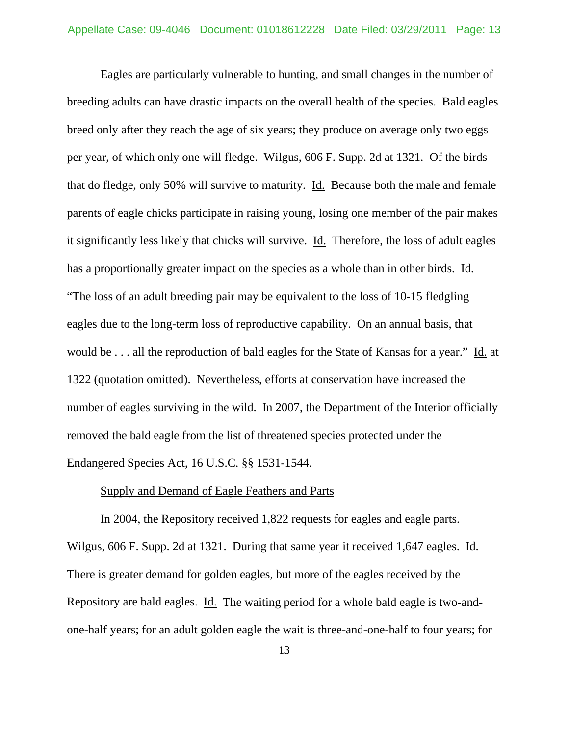Eagles are particularly vulnerable to hunting, and small changes in the number of breeding adults can have drastic impacts on the overall health of the species. Bald eagles breed only after they reach the age of six years; they produce on average only two eggs per year, of which only one will fledge. Wilgus, 606 F. Supp. 2d at 1321. Of the birds that do fledge, only 50% will survive to maturity. Id. Because both the male and female parents of eagle chicks participate in raising young, losing one member of the pair makes it significantly less likely that chicks will survive. Id. Therefore, the loss of adult eagles has a proportionally greater impact on the species as a whole than in other birds. Id. "The loss of an adult breeding pair may be equivalent to the loss of 10-15 fledgling eagles due to the long-term loss of reproductive capability. On an annual basis, that would be . . . all the reproduction of bald eagles for the State of Kansas for a year." Id. at 1322 (quotation omitted). Nevertheless, efforts at conservation have increased the number of eagles surviving in the wild. In 2007, the Department of the Interior officially removed the bald eagle from the list of threatened species protected under the Endangered Species Act, 16 U.S.C. §§ 1531-1544.

### Supply and Demand of Eagle Feathers and Parts

 In 2004, the Repository received 1,822 requests for eagles and eagle parts. Wilgus, 606 F. Supp. 2d at 1321. During that same year it received 1,647 eagles. Id. There is greater demand for golden eagles, but more of the eagles received by the Repository are bald eagles. Id. The waiting period for a whole bald eagle is two-andone-half years; for an adult golden eagle the wait is three-and-one-half to four years; for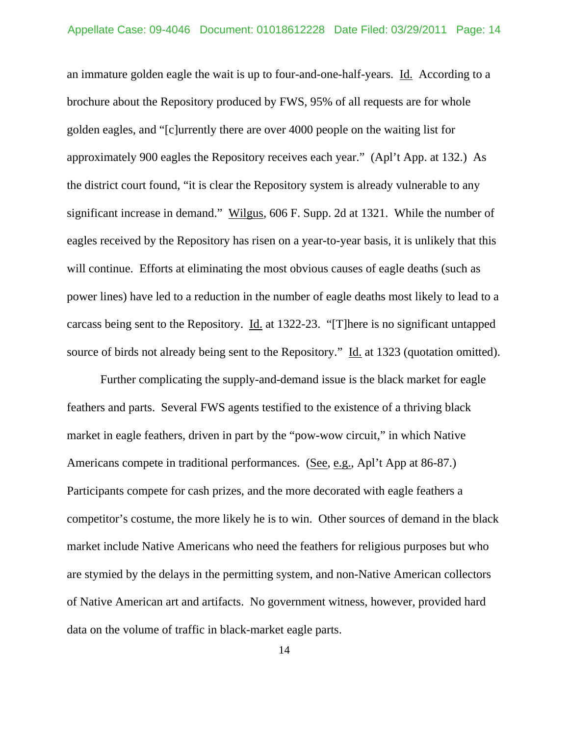an immature golden eagle the wait is up to four-and-one-half-years. Id. According to a brochure about the Repository produced by FWS, 95% of all requests are for whole golden eagles, and "[c]urrently there are over 4000 people on the waiting list for approximately 900 eagles the Repository receives each year." (Apl't App. at 132.) As the district court found, "it is clear the Repository system is already vulnerable to any significant increase in demand." Wilgus, 606 F. Supp. 2d at 1321. While the number of eagles received by the Repository has risen on a year-to-year basis, it is unlikely that this will continue. Efforts at eliminating the most obvious causes of eagle deaths (such as power lines) have led to a reduction in the number of eagle deaths most likely to lead to a carcass being sent to the Repository. Id. at 1322-23. "[T]here is no significant untapped source of birds not already being sent to the Repository." Id. at 1323 (quotation omitted).

 Further complicating the supply-and-demand issue is the black market for eagle feathers and parts. Several FWS agents testified to the existence of a thriving black market in eagle feathers, driven in part by the "pow-wow circuit," in which Native Americans compete in traditional performances. (See, e.g., Apl't App at 86-87.) Participants compete for cash prizes, and the more decorated with eagle feathers a competitor's costume, the more likely he is to win. Other sources of demand in the black market include Native Americans who need the feathers for religious purposes but who are stymied by the delays in the permitting system, and non-Native American collectors of Native American art and artifacts. No government witness, however, provided hard data on the volume of traffic in black-market eagle parts.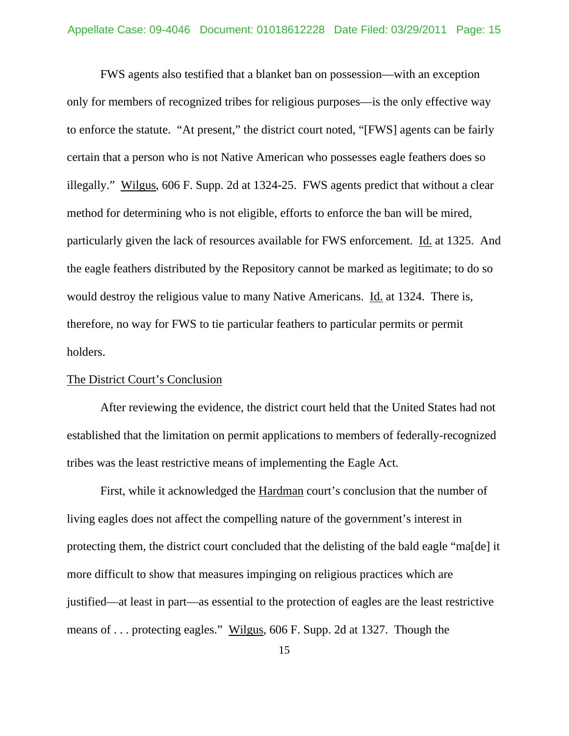FWS agents also testified that a blanket ban on possession—with an exception only for members of recognized tribes for religious purposes—is the only effective way to enforce the statute. "At present," the district court noted, "[FWS] agents can be fairly certain that a person who is not Native American who possesses eagle feathers does so illegally." Wilgus, 606 F. Supp. 2d at 1324-25. FWS agents predict that without a clear method for determining who is not eligible, efforts to enforce the ban will be mired, particularly given the lack of resources available for FWS enforcement. Id. at 1325. And the eagle feathers distributed by the Repository cannot be marked as legitimate; to do so would destroy the religious value to many Native Americans. Id. at 1324. There is, therefore, no way for FWS to tie particular feathers to particular permits or permit holders.

#### The District Court's Conclusion

 After reviewing the evidence, the district court held that the United States had not established that the limitation on permit applications to members of federally-recognized tribes was the least restrictive means of implementing the Eagle Act.

 First, while it acknowledged the Hardman court's conclusion that the number of living eagles does not affect the compelling nature of the government's interest in protecting them, the district court concluded that the delisting of the bald eagle "ma[de] it more difficult to show that measures impinging on religious practices which are justified—at least in part—as essential to the protection of eagles are the least restrictive means of . . . protecting eagles." Wilgus, 606 F. Supp. 2d at 1327. Though the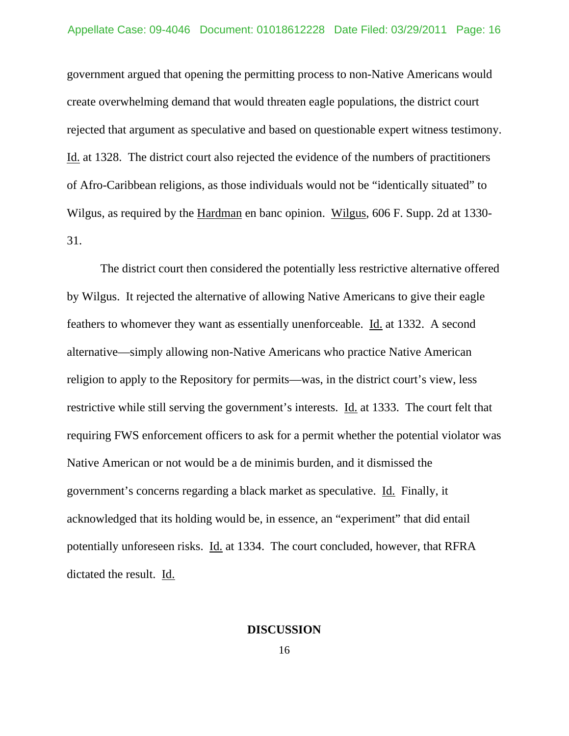government argued that opening the permitting process to non-Native Americans would create overwhelming demand that would threaten eagle populations, the district court rejected that argument as speculative and based on questionable expert witness testimony. Id. at 1328. The district court also rejected the evidence of the numbers of practitioners of Afro-Caribbean religions, as those individuals would not be "identically situated" to Wilgus, as required by the Hardman en banc opinion. Wilgus, 606 F. Supp. 2d at 1330- 31.

 The district court then considered the potentially less restrictive alternative offered by Wilgus. It rejected the alternative of allowing Native Americans to give their eagle feathers to whomever they want as essentially unenforceable. Id. at 1332. A second alternative—simply allowing non-Native Americans who practice Native American religion to apply to the Repository for permits—was, in the district court's view, less restrictive while still serving the government's interests. Id. at 1333. The court felt that requiring FWS enforcement officers to ask for a permit whether the potential violator was Native American or not would be a de minimis burden, and it dismissed the government's concerns regarding a black market as speculative. Id. Finally, it acknowledged that its holding would be, in essence, an "experiment" that did entail potentially unforeseen risks. Id. at 1334. The court concluded, however, that RFRA dictated the result. Id.

#### **DISCUSSION**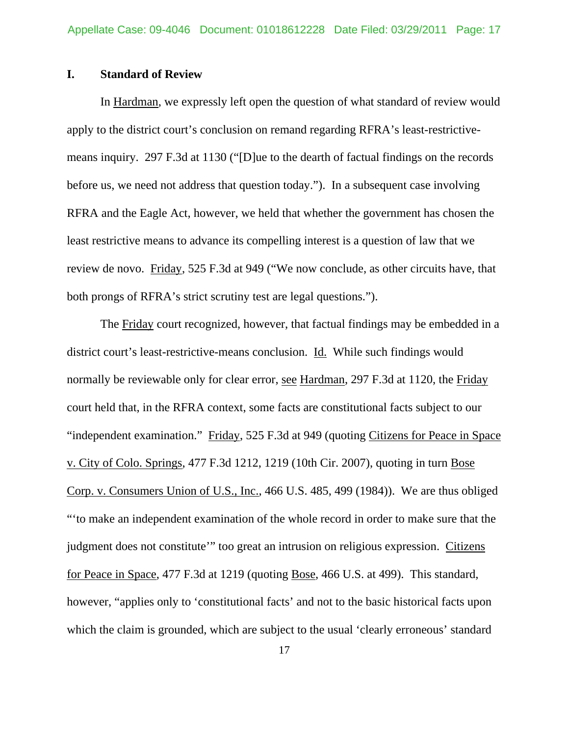### **I. Standard of Review**

 In Hardman, we expressly left open the question of what standard of review would apply to the district court's conclusion on remand regarding RFRA's least-restrictivemeans inquiry. 297 F.3d at 1130 ("[D]ue to the dearth of factual findings on the records before us, we need not address that question today."). In a subsequent case involving RFRA and the Eagle Act, however, we held that whether the government has chosen the least restrictive means to advance its compelling interest is a question of law that we review de novo. Friday, 525 F.3d at 949 ("We now conclude, as other circuits have, that both prongs of RFRA's strict scrutiny test are legal questions.").

 The Friday court recognized, however, that factual findings may be embedded in a district court's least-restrictive-means conclusion. Id. While such findings would normally be reviewable only for clear error, see Hardman, 297 F.3d at 1120, the Friday court held that, in the RFRA context, some facts are constitutional facts subject to our "independent examination." Friday, 525 F.3d at 949 (quoting Citizens for Peace in Space v. City of Colo. Springs, 477 F.3d 1212, 1219 (10th Cir. 2007), quoting in turn Bose Corp. v. Consumers Union of U.S., Inc., 466 U.S. 485, 499 (1984)). We are thus obliged "'to make an independent examination of the whole record in order to make sure that the judgment does not constitute'" too great an intrusion on religious expression. Citizens for Peace in Space, 477 F.3d at 1219 (quoting Bose, 466 U.S. at 499). This standard, however, "applies only to 'constitutional facts' and not to the basic historical facts upon which the claim is grounded, which are subject to the usual 'clearly erroneous' standard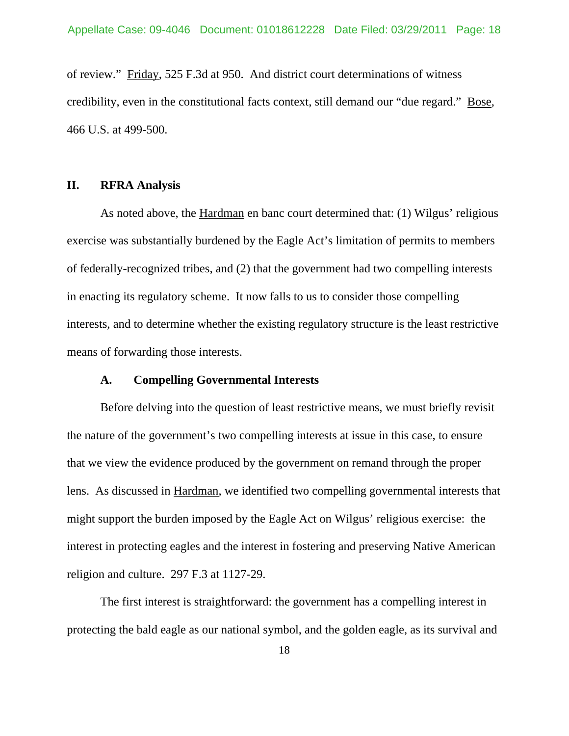of review." Friday, 525 F.3d at 950. And district court determinations of witness credibility, even in the constitutional facts context, still demand our "due regard." Bose, 466 U.S. at 499-500.

### **II. RFRA Analysis**

 As noted above, the Hardman en banc court determined that: (1) Wilgus' religious exercise was substantially burdened by the Eagle Act's limitation of permits to members of federally-recognized tribes, and (2) that the government had two compelling interests in enacting its regulatory scheme. It now falls to us to consider those compelling interests, and to determine whether the existing regulatory structure is the least restrictive means of forwarding those interests.

### **A. Compelling Governmental Interests**

 Before delving into the question of least restrictive means, we must briefly revisit the nature of the government's two compelling interests at issue in this case, to ensure that we view the evidence produced by the government on remand through the proper lens. As discussed in Hardman, we identified two compelling governmental interests that might support the burden imposed by the Eagle Act on Wilgus' religious exercise: the interest in protecting eagles and the interest in fostering and preserving Native American religion and culture. 297 F.3 at 1127-29.

 The first interest is straightforward: the government has a compelling interest in protecting the bald eagle as our national symbol, and the golden eagle, as its survival and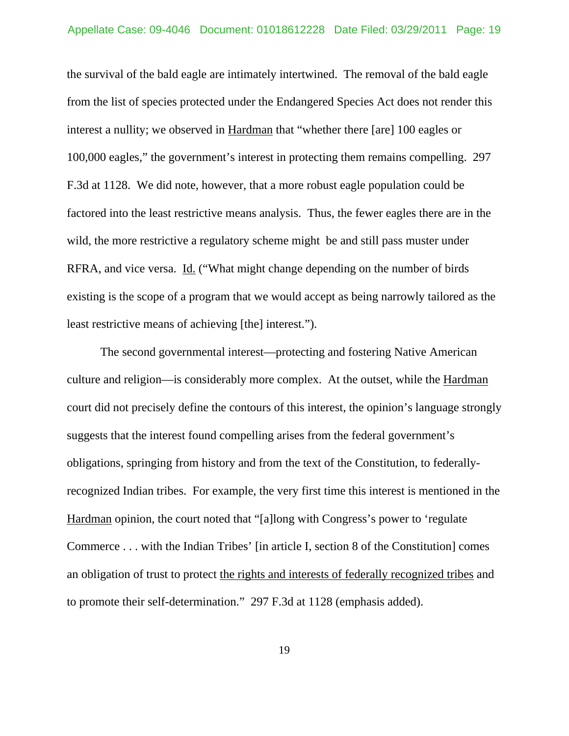the survival of the bald eagle are intimately intertwined. The removal of the bald eagle from the list of species protected under the Endangered Species Act does not render this interest a nullity; we observed in Hardman that "whether there [are] 100 eagles or 100,000 eagles," the government's interest in protecting them remains compelling. 297 F.3d at 1128. We did note, however, that a more robust eagle population could be factored into the least restrictive means analysis. Thus, the fewer eagles there are in the wild, the more restrictive a regulatory scheme might be and still pass muster under RFRA, and vice versa. Id. ("What might change depending on the number of birds existing is the scope of a program that we would accept as being narrowly tailored as the least restrictive means of achieving [the] interest.").

 The second governmental interest—protecting and fostering Native American culture and religion—is considerably more complex. At the outset, while the Hardman court did not precisely define the contours of this interest, the opinion's language strongly suggests that the interest found compelling arises from the federal government's obligations, springing from history and from the text of the Constitution, to federallyrecognized Indian tribes. For example, the very first time this interest is mentioned in the Hardman opinion, the court noted that "[a]long with Congress's power to 'regulate Commerce . . . with the Indian Tribes' [in article I, section 8 of the Constitution] comes an obligation of trust to protect the rights and interests of federally recognized tribes and to promote their self-determination." 297 F.3d at 1128 (emphasis added).

19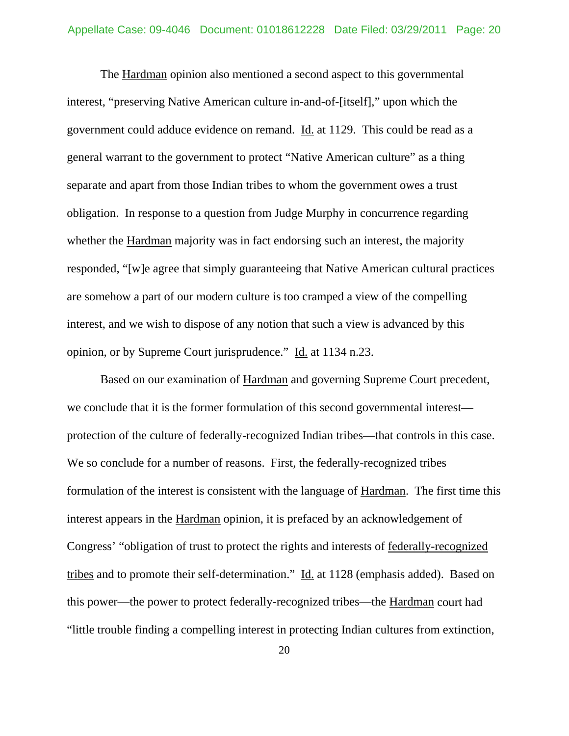The Hardman opinion also mentioned a second aspect to this governmental interest, "preserving Native American culture in-and-of-[itself]," upon which the government could adduce evidence on remand. Id. at 1129. This could be read as a general warrant to the government to protect "Native American culture" as a thing separate and apart from those Indian tribes to whom the government owes a trust obligation. In response to a question from Judge Murphy in concurrence regarding whether the Hardman majority was in fact endorsing such an interest, the majority responded, "[w]e agree that simply guaranteeing that Native American cultural practices are somehow a part of our modern culture is too cramped a view of the compelling interest, and we wish to dispose of any notion that such a view is advanced by this opinion, or by Supreme Court jurisprudence." Id. at 1134 n.23.

 Based on our examination of Hardman and governing Supreme Court precedent, we conclude that it is the former formulation of this second governmental interest protection of the culture of federally-recognized Indian tribes—that controls in this case. We so conclude for a number of reasons. First, the federally-recognized tribes formulation of the interest is consistent with the language of Hardman. The first time this interest appears in the Hardman opinion, it is prefaced by an acknowledgement of Congress' "obligation of trust to protect the rights and interests of federally-recognized tribes and to promote their self-determination." Id. at 1128 (emphasis added). Based on this power—the power to protect federally-recognized tribes—the Hardman court had "little trouble finding a compelling interest in protecting Indian cultures from extinction,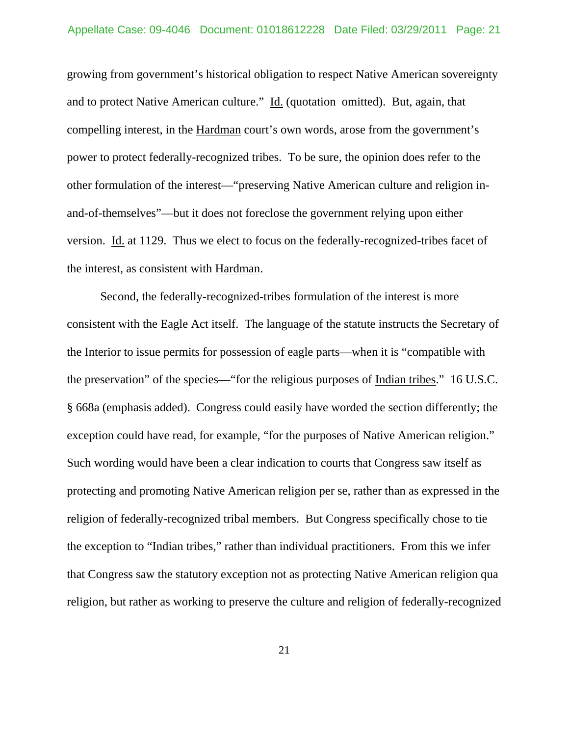growing from government's historical obligation to respect Native American sovereignty and to protect Native American culture." Id. (quotation omitted). But, again, that compelling interest, in the Hardman court's own words, arose from the government's power to protect federally-recognized tribes. To be sure, the opinion does refer to the other formulation of the interest—"preserving Native American culture and religion inand-of-themselves"—but it does not foreclose the government relying upon either version. Id. at 1129. Thus we elect to focus on the federally-recognized-tribes facet of the interest, as consistent with Hardman.

 Second, the federally-recognized-tribes formulation of the interest is more consistent with the Eagle Act itself. The language of the statute instructs the Secretary of the Interior to issue permits for possession of eagle parts—when it is "compatible with the preservation" of the species—"for the religious purposes of Indian tribes." 16 U.S.C. § 668a (emphasis added). Congress could easily have worded the section differently; the exception could have read, for example, "for the purposes of Native American religion." Such wording would have been a clear indication to courts that Congress saw itself as protecting and promoting Native American religion per se, rather than as expressed in the religion of federally-recognized tribal members. But Congress specifically chose to tie the exception to "Indian tribes," rather than individual practitioners. From this we infer that Congress saw the statutory exception not as protecting Native American religion qua religion, but rather as working to preserve the culture and religion of federally-recognized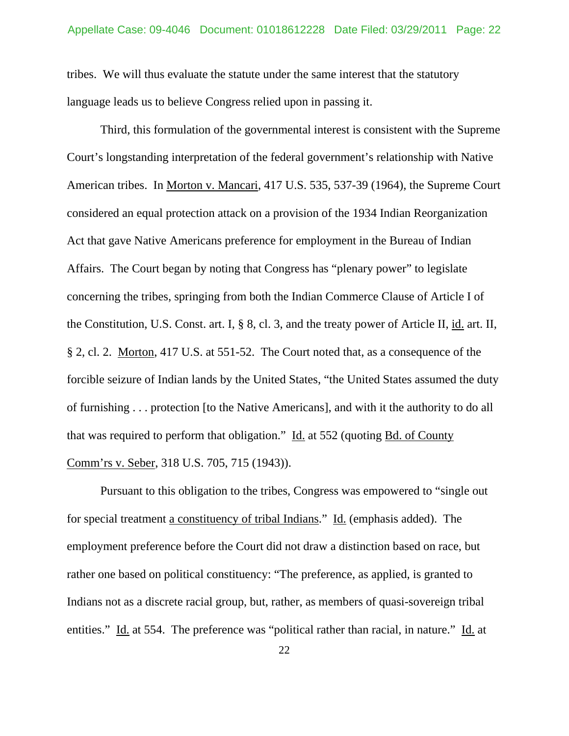tribes. We will thus evaluate the statute under the same interest that the statutory language leads us to believe Congress relied upon in passing it.

 Third, this formulation of the governmental interest is consistent with the Supreme Court's longstanding interpretation of the federal government's relationship with Native American tribes. In Morton v. Mancari, 417 U.S. 535, 537-39 (1964), the Supreme Court considered an equal protection attack on a provision of the 1934 Indian Reorganization Act that gave Native Americans preference for employment in the Bureau of Indian Affairs. The Court began by noting that Congress has "plenary power" to legislate concerning the tribes, springing from both the Indian Commerce Clause of Article I of the Constitution, U.S. Const. art. I, § 8, cl. 3, and the treaty power of Article II, id. art. II, § 2, cl. 2. Morton, 417 U.S. at 551-52. The Court noted that, as a consequence of the forcible seizure of Indian lands by the United States, "the United States assumed the duty of furnishing . . . protection [to the Native Americans], and with it the authority to do all that was required to perform that obligation." Id. at 552 (quoting Bd. of County Comm'rs v. Seber, 318 U.S. 705, 715 (1943)).

 Pursuant to this obligation to the tribes, Congress was empowered to "single out for special treatment a constituency of tribal Indians." Id. (emphasis added). The employment preference before the Court did not draw a distinction based on race, but rather one based on political constituency: "The preference, as applied, is granted to Indians not as a discrete racial group, but, rather, as members of quasi-sovereign tribal entities." Id. at 554. The preference was "political rather than racial, in nature." Id. at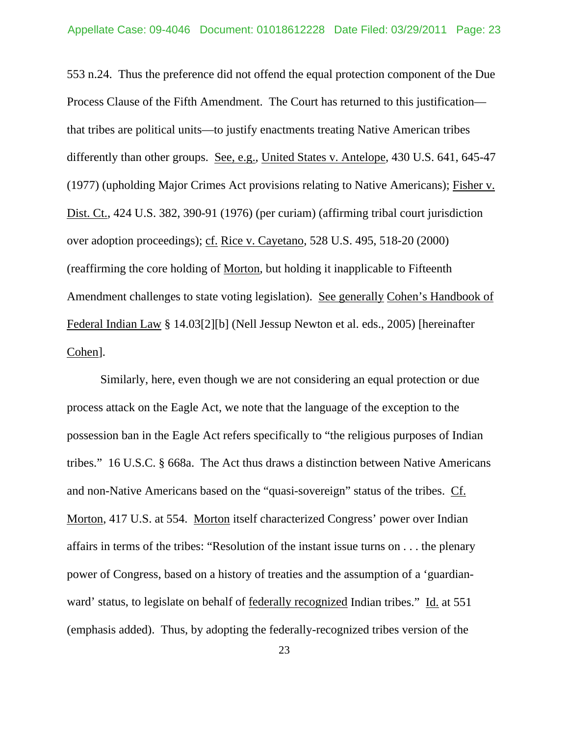553 n.24. Thus the preference did not offend the equal protection component of the Due Process Clause of the Fifth Amendment. The Court has returned to this justification that tribes are political units—to justify enactments treating Native American tribes differently than other groups. See, e.g., United States v. Antelope, 430 U.S. 641, 645-47 (1977) (upholding Major Crimes Act provisions relating to Native Americans); Fisher v. Dist. Ct., 424 U.S. 382, 390-91 (1976) (per curiam) (affirming tribal court jurisdiction over adoption proceedings); cf. Rice v. Cayetano, 528 U.S. 495, 518-20 (2000) (reaffirming the core holding of Morton, but holding it inapplicable to Fifteenth Amendment challenges to state voting legislation). See generally Cohen's Handbook of Federal Indian Law § 14.03[2][b] (Nell Jessup Newton et al. eds., 2005) [hereinafter Cohen].

 Similarly, here, even though we are not considering an equal protection or due process attack on the Eagle Act, we note that the language of the exception to the possession ban in the Eagle Act refers specifically to "the religious purposes of Indian tribes." 16 U.S.C. § 668a. The Act thus draws a distinction between Native Americans and non-Native Americans based on the "quasi-sovereign" status of the tribes. Cf. Morton, 417 U.S. at 554. Morton itself characterized Congress' power over Indian affairs in terms of the tribes: "Resolution of the instant issue turns on . . . the plenary power of Congress, based on a history of treaties and the assumption of a 'guardianward' status, to legislate on behalf of federally recognized Indian tribes." Id. at 551 (emphasis added). Thus, by adopting the federally-recognized tribes version of the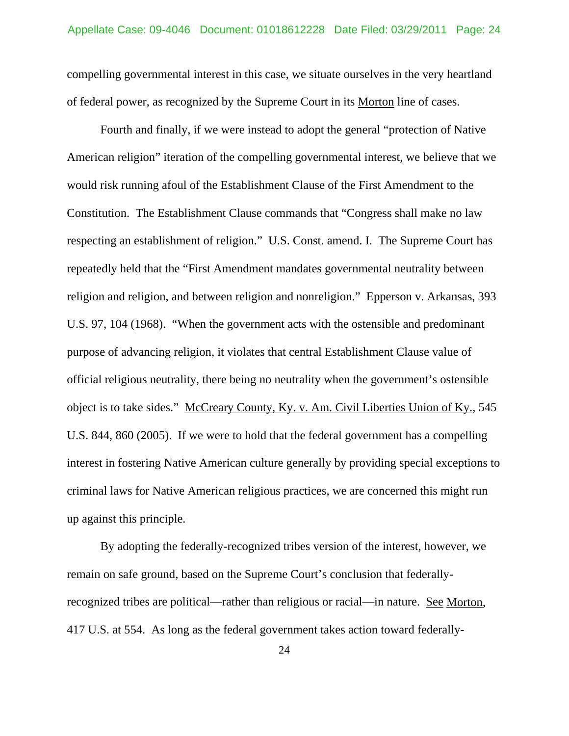compelling governmental interest in this case, we situate ourselves in the very heartland of federal power, as recognized by the Supreme Court in its Morton line of cases.

 Fourth and finally, if we were instead to adopt the general "protection of Native American religion" iteration of the compelling governmental interest, we believe that we would risk running afoul of the Establishment Clause of the First Amendment to the Constitution. The Establishment Clause commands that "Congress shall make no law respecting an establishment of religion." U.S. Const. amend. I. The Supreme Court has repeatedly held that the "First Amendment mandates governmental neutrality between religion and religion, and between religion and nonreligion." Epperson v. Arkansas, 393 U.S. 97, 104 (1968). "When the government acts with the ostensible and predominant purpose of advancing religion, it violates that central Establishment Clause value of official religious neutrality, there being no neutrality when the government's ostensible object is to take sides." McCreary County, Ky. v. Am. Civil Liberties Union of Ky., 545 U.S. 844, 860 (2005). If we were to hold that the federal government has a compelling interest in fostering Native American culture generally by providing special exceptions to criminal laws for Native American religious practices, we are concerned this might run up against this principle.

 By adopting the federally-recognized tribes version of the interest, however, we remain on safe ground, based on the Supreme Court's conclusion that federallyrecognized tribes are political—rather than religious or racial—in nature. See Morton, 417 U.S. at 554. As long as the federal government takes action toward federally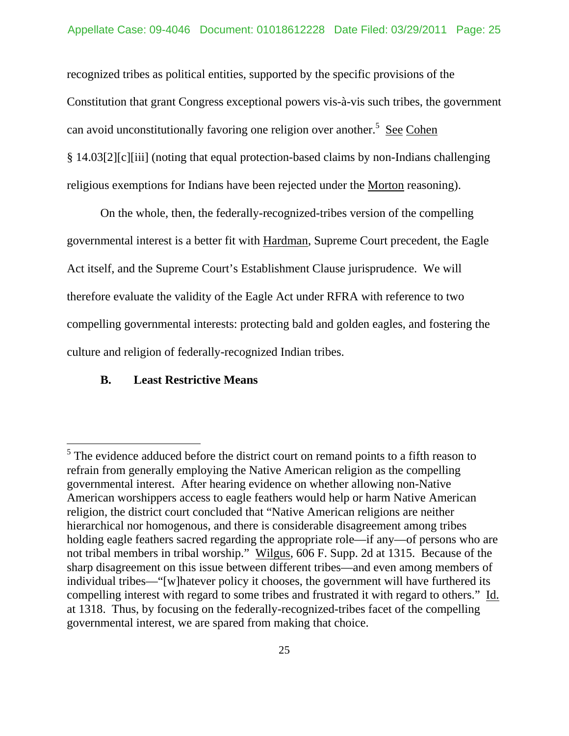recognized tribes as political entities, supported by the specific provisions of the Constitution that grant Congress exceptional powers vis-à-vis such tribes, the government can avoid unconstitutionally favoring one religion over another.<sup>5</sup> See Cohen § 14.03[2][c][iii] (noting that equal protection-based claims by non-Indians challenging religious exemptions for Indians have been rejected under the Morton reasoning).

 On the whole, then, the federally-recognized-tribes version of the compelling governmental interest is a better fit with Hardman, Supreme Court precedent, the Eagle Act itself, and the Supreme Court's Establishment Clause jurisprudence. We will therefore evaluate the validity of the Eagle Act under RFRA with reference to two compelling governmental interests: protecting bald and golden eagles, and fostering the culture and religion of federally-recognized Indian tribes.

### **B. Least Restrictive Means**

 $\overline{a}$ 

 $<sup>5</sup>$  The evidence adduced before the district court on remand points to a fifth reason to</sup> refrain from generally employing the Native American religion as the compelling governmental interest. After hearing evidence on whether allowing non-Native American worshippers access to eagle feathers would help or harm Native American religion, the district court concluded that "Native American religions are neither hierarchical nor homogenous, and there is considerable disagreement among tribes holding eagle feathers sacred regarding the appropriate role—if any—of persons who are not tribal members in tribal worship." Wilgus, 606 F. Supp. 2d at 1315. Because of the sharp disagreement on this issue between different tribes—and even among members of individual tribes—"[w]hatever policy it chooses, the government will have furthered its compelling interest with regard to some tribes and frustrated it with regard to others." Id. at 1318. Thus, by focusing on the federally-recognized-tribes facet of the compelling governmental interest, we are spared from making that choice.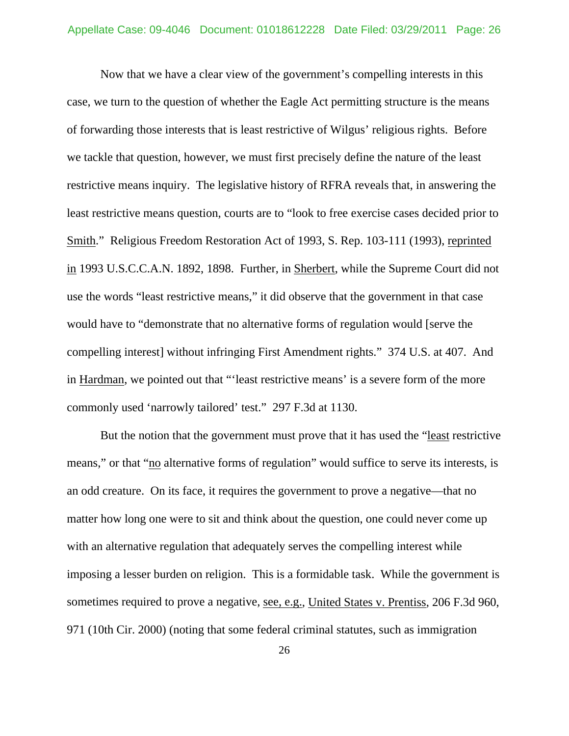Now that we have a clear view of the government's compelling interests in this case, we turn to the question of whether the Eagle Act permitting structure is the means of forwarding those interests that is least restrictive of Wilgus' religious rights. Before we tackle that question, however, we must first precisely define the nature of the least restrictive means inquiry. The legislative history of RFRA reveals that, in answering the least restrictive means question, courts are to "look to free exercise cases decided prior to Smith." Religious Freedom Restoration Act of 1993, S. Rep. 103-111 (1993), reprinted in 1993 U.S.C.C.A.N. 1892, 1898. Further, in Sherbert, while the Supreme Court did not use the words "least restrictive means," it did observe that the government in that case would have to "demonstrate that no alternative forms of regulation would [serve the compelling interest] without infringing First Amendment rights." 374 U.S. at 407. And in Hardman, we pointed out that "'least restrictive means' is a severe form of the more commonly used 'narrowly tailored' test." 297 F.3d at 1130.

 But the notion that the government must prove that it has used the "least restrictive means," or that "no alternative forms of regulation" would suffice to serve its interests, is an odd creature. On its face, it requires the government to prove a negative—that no matter how long one were to sit and think about the question, one could never come up with an alternative regulation that adequately serves the compelling interest while imposing a lesser burden on religion. This is a formidable task. While the government is sometimes required to prove a negative, see, e.g., United States v. Prentiss, 206 F.3d 960, 971 (10th Cir. 2000) (noting that some federal criminal statutes, such as immigration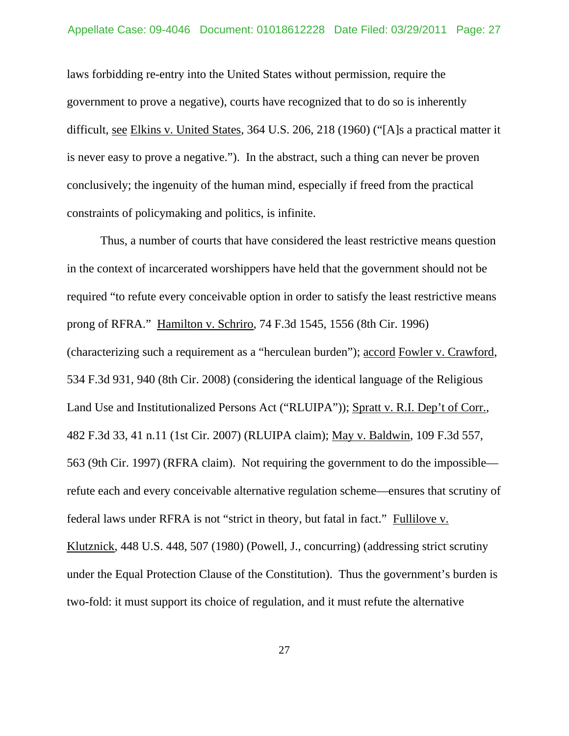laws forbidding re-entry into the United States without permission, require the government to prove a negative), courts have recognized that to do so is inherently difficult, see Elkins v. United States, 364 U.S. 206, 218 (1960) ("[A]s a practical matter it is never easy to prove a negative."). In the abstract, such a thing can never be proven conclusively; the ingenuity of the human mind, especially if freed from the practical constraints of policymaking and politics, is infinite.

 Thus, a number of courts that have considered the least restrictive means question in the context of incarcerated worshippers have held that the government should not be required "to refute every conceivable option in order to satisfy the least restrictive means prong of RFRA." Hamilton v. Schriro, 74 F.3d 1545, 1556 (8th Cir. 1996) (characterizing such a requirement as a "herculean burden"); accord Fowler v. Crawford, 534 F.3d 931, 940 (8th Cir. 2008) (considering the identical language of the Religious Land Use and Institutionalized Persons Act ("RLUIPA")); Spratt v. R.I. Dep't of Corr., 482 F.3d 33, 41 n.11 (1st Cir. 2007) (RLUIPA claim); May v. Baldwin, 109 F.3d 557, 563 (9th Cir. 1997) (RFRA claim). Not requiring the government to do the impossible refute each and every conceivable alternative regulation scheme—ensures that scrutiny of federal laws under RFRA is not "strict in theory, but fatal in fact." Fullilove v. Klutznick, 448 U.S. 448, 507 (1980) (Powell, J., concurring) (addressing strict scrutiny under the Equal Protection Clause of the Constitution). Thus the government's burden is two-fold: it must support its choice of regulation, and it must refute the alternative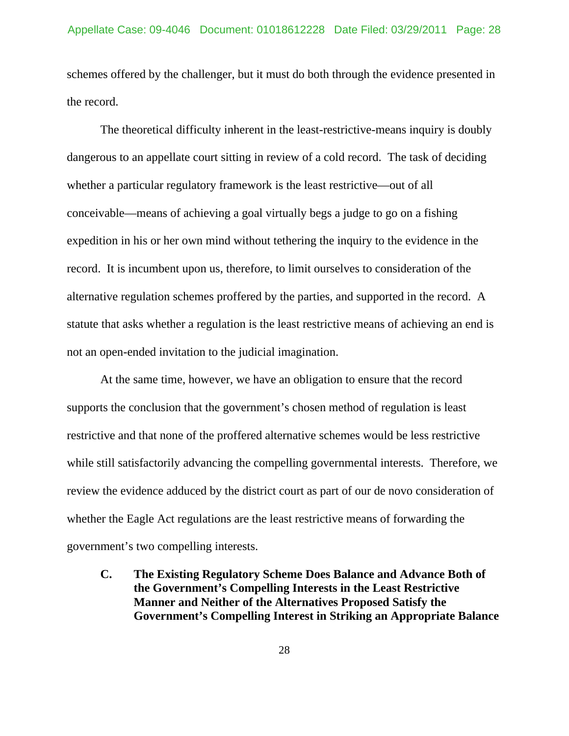schemes offered by the challenger, but it must do both through the evidence presented in the record.

 The theoretical difficulty inherent in the least-restrictive-means inquiry is doubly dangerous to an appellate court sitting in review of a cold record. The task of deciding whether a particular regulatory framework is the least restrictive—out of all conceivable—means of achieving a goal virtually begs a judge to go on a fishing expedition in his or her own mind without tethering the inquiry to the evidence in the record. It is incumbent upon us, therefore, to limit ourselves to consideration of the alternative regulation schemes proffered by the parties, and supported in the record. A statute that asks whether a regulation is the least restrictive means of achieving an end is not an open-ended invitation to the judicial imagination.

 At the same time, however, we have an obligation to ensure that the record supports the conclusion that the government's chosen method of regulation is least restrictive and that none of the proffered alternative schemes would be less restrictive while still satisfactorily advancing the compelling governmental interests. Therefore, we review the evidence adduced by the district court as part of our de novo consideration of whether the Eagle Act regulations are the least restrictive means of forwarding the government's two compelling interests.

**C. The Existing Regulatory Scheme Does Balance and Advance Both of the Government's Compelling Interests in the Least Restrictive Manner and Neither of the Alternatives Proposed Satisfy the Government's Compelling Interest in Striking an Appropriate Balance**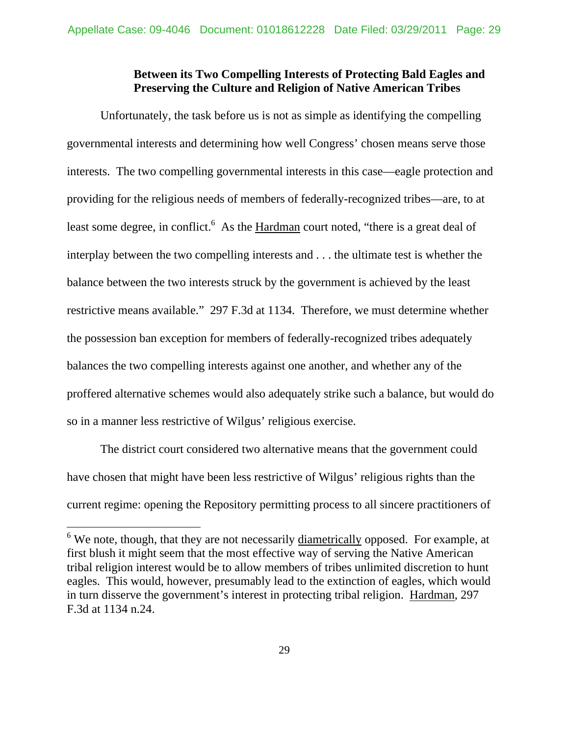## **Between its Two Compelling Interests of Protecting Bald Eagles and Preserving the Culture and Religion of Native American Tribes**

 Unfortunately, the task before us is not as simple as identifying the compelling governmental interests and determining how well Congress' chosen means serve those interests. The two compelling governmental interests in this case—eagle protection and providing for the religious needs of members of federally-recognized tribes—are, to at least some degree, in conflict.<sup>6</sup> As the Hardman court noted, "there is a great deal of interplay between the two compelling interests and . . . the ultimate test is whether the balance between the two interests struck by the government is achieved by the least restrictive means available." 297 F.3d at 1134. Therefore, we must determine whether the possession ban exception for members of federally-recognized tribes adequately balances the two compelling interests against one another, and whether any of the proffered alternative schemes would also adequately strike such a balance, but would do so in a manner less restrictive of Wilgus' religious exercise.

 The district court considered two alternative means that the government could have chosen that might have been less restrictive of Wilgus' religious rights than the current regime: opening the Repository permitting process to all sincere practitioners of

 $\overline{a}$ 

 $6$  We note, though, that they are not necessarily diametrically opposed. For example, at first blush it might seem that the most effective way of serving the Native American tribal religion interest would be to allow members of tribes unlimited discretion to hunt eagles. This would, however, presumably lead to the extinction of eagles, which would in turn disserve the government's interest in protecting tribal religion. Hardman, 297 F.3d at 1134 n.24.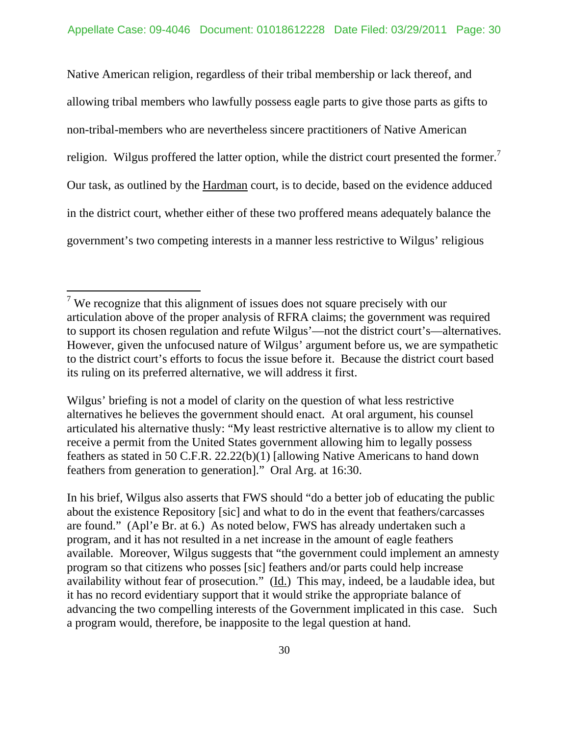Native American religion, regardless of their tribal membership or lack thereof, and allowing tribal members who lawfully possess eagle parts to give those parts as gifts to non-tribal-members who are nevertheless sincere practitioners of Native American religion. Wilgus proffered the latter option, while the district court presented the former.<sup>7</sup> Our task, as outlined by the Hardman court, is to decide, based on the evidence adduced in the district court, whether either of these two proffered means adequately balance the government's two competing interests in a manner less restrictive to Wilgus' religious

 $\overline{a}$ 

In his brief, Wilgus also asserts that FWS should "do a better job of educating the public about the existence Repository [sic] and what to do in the event that feathers/carcasses are found." (Apl'e Br. at 6.) As noted below, FWS has already undertaken such a program, and it has not resulted in a net increase in the amount of eagle feathers available. Moreover, Wilgus suggests that "the government could implement an amnesty program so that citizens who posses [sic] feathers and/or parts could help increase availability without fear of prosecution." (Id.) This may, indeed, be a laudable idea, but it has no record evidentiary support that it would strike the appropriate balance of advancing the two compelling interests of the Government implicated in this case. Such a program would, therefore, be inapposite to the legal question at hand.

<sup>&</sup>lt;sup>7</sup> We recognize that this alignment of issues does not square precisely with our articulation above of the proper analysis of RFRA claims; the government was required to support its chosen regulation and refute Wilgus'—not the district court's—alternatives. However, given the unfocused nature of Wilgus' argument before us, we are sympathetic to the district court's efforts to focus the issue before it. Because the district court based its ruling on its preferred alternative, we will address it first.

Wilgus' briefing is not a model of clarity on the question of what less restrictive alternatives he believes the government should enact. At oral argument, his counsel articulated his alternative thusly: "My least restrictive alternative is to allow my client to receive a permit from the United States government allowing him to legally possess feathers as stated in 50 C.F.R. 22.22(b)(1) [allowing Native Americans to hand down feathers from generation to generation]." Oral Arg. at 16:30.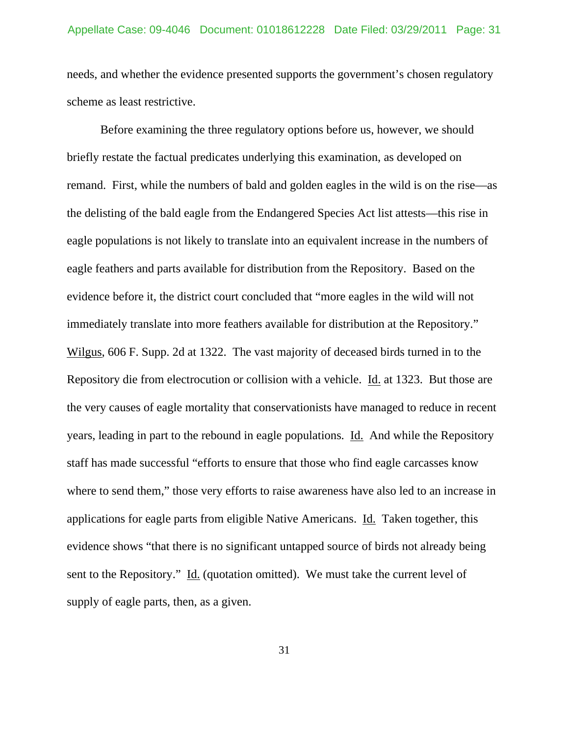needs, and whether the evidence presented supports the government's chosen regulatory scheme as least restrictive.

 Before examining the three regulatory options before us, however, we should briefly restate the factual predicates underlying this examination, as developed on remand. First, while the numbers of bald and golden eagles in the wild is on the rise—as the delisting of the bald eagle from the Endangered Species Act list attests—this rise in eagle populations is not likely to translate into an equivalent increase in the numbers of eagle feathers and parts available for distribution from the Repository. Based on the evidence before it, the district court concluded that "more eagles in the wild will not immediately translate into more feathers available for distribution at the Repository." Wilgus, 606 F. Supp. 2d at 1322. The vast majority of deceased birds turned in to the Repository die from electrocution or collision with a vehicle. Id. at 1323. But those are the very causes of eagle mortality that conservationists have managed to reduce in recent years, leading in part to the rebound in eagle populations. Id. And while the Repository staff has made successful "efforts to ensure that those who find eagle carcasses know where to send them," those very efforts to raise awareness have also led to an increase in applications for eagle parts from eligible Native Americans. Id. Taken together, this evidence shows "that there is no significant untapped source of birds not already being sent to the Repository." Id. (quotation omitted). We must take the current level of supply of eagle parts, then, as a given.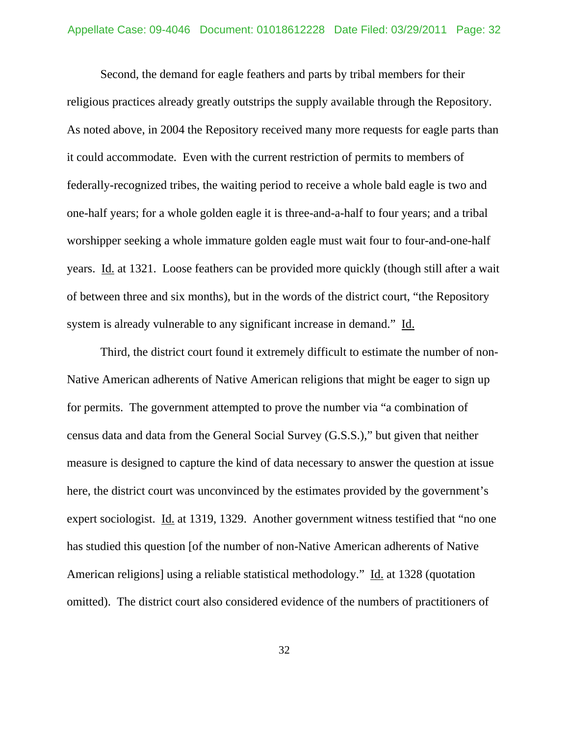Second, the demand for eagle feathers and parts by tribal members for their religious practices already greatly outstrips the supply available through the Repository. As noted above, in 2004 the Repository received many more requests for eagle parts than it could accommodate. Even with the current restriction of permits to members of federally-recognized tribes, the waiting period to receive a whole bald eagle is two and one-half years; for a whole golden eagle it is three-and-a-half to four years; and a tribal worshipper seeking a whole immature golden eagle must wait four to four-and-one-half years. Id. at 1321. Loose feathers can be provided more quickly (though still after a wait of between three and six months), but in the words of the district court, "the Repository system is already vulnerable to any significant increase in demand." Id.

 Third, the district court found it extremely difficult to estimate the number of non-Native American adherents of Native American religions that might be eager to sign up for permits. The government attempted to prove the number via "a combination of census data and data from the General Social Survey (G.S.S.)," but given that neither measure is designed to capture the kind of data necessary to answer the question at issue here, the district court was unconvinced by the estimates provided by the government's expert sociologist. Id. at 1319, 1329. Another government witness testified that "no one has studied this question [of the number of non-Native American adherents of Native American religions] using a reliable statistical methodology." Id. at 1328 (quotation omitted). The district court also considered evidence of the numbers of practitioners of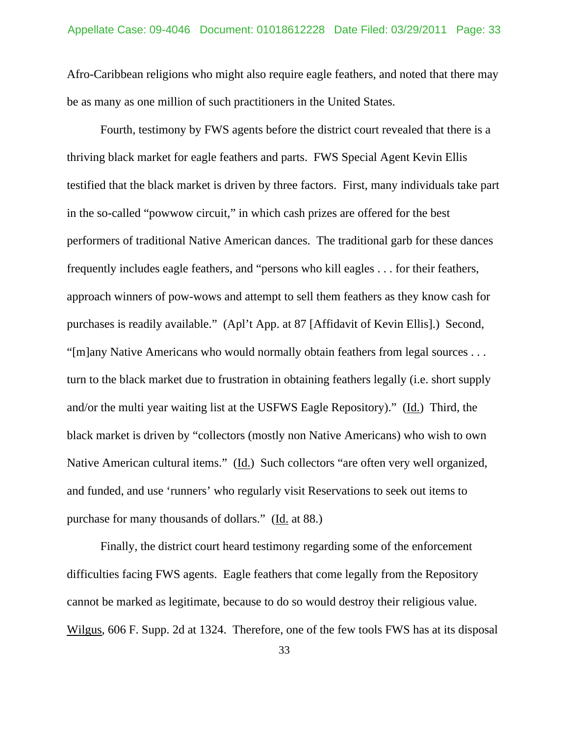Afro-Caribbean religions who might also require eagle feathers, and noted that there may be as many as one million of such practitioners in the United States.

 Fourth, testimony by FWS agents before the district court revealed that there is a thriving black market for eagle feathers and parts. FWS Special Agent Kevin Ellis testified that the black market is driven by three factors. First, many individuals take part in the so-called "powwow circuit," in which cash prizes are offered for the best performers of traditional Native American dances. The traditional garb for these dances frequently includes eagle feathers, and "persons who kill eagles . . . for their feathers, approach winners of pow-wows and attempt to sell them feathers as they know cash for purchases is readily available." (Apl't App. at 87 [Affidavit of Kevin Ellis].) Second, "[m]any Native Americans who would normally obtain feathers from legal sources . . . turn to the black market due to frustration in obtaining feathers legally (i.e. short supply and/or the multi year waiting list at the USFWS Eagle Repository)." (Id.) Third, the black market is driven by "collectors (mostly non Native Americans) who wish to own Native American cultural items." (Id.) Such collectors "are often very well organized, and funded, and use 'runners' who regularly visit Reservations to seek out items to purchase for many thousands of dollars." (Id. at 88.)

 Finally, the district court heard testimony regarding some of the enforcement difficulties facing FWS agents. Eagle feathers that come legally from the Repository cannot be marked as legitimate, because to do so would destroy their religious value. Wilgus, 606 F. Supp. 2d at 1324. Therefore, one of the few tools FWS has at its disposal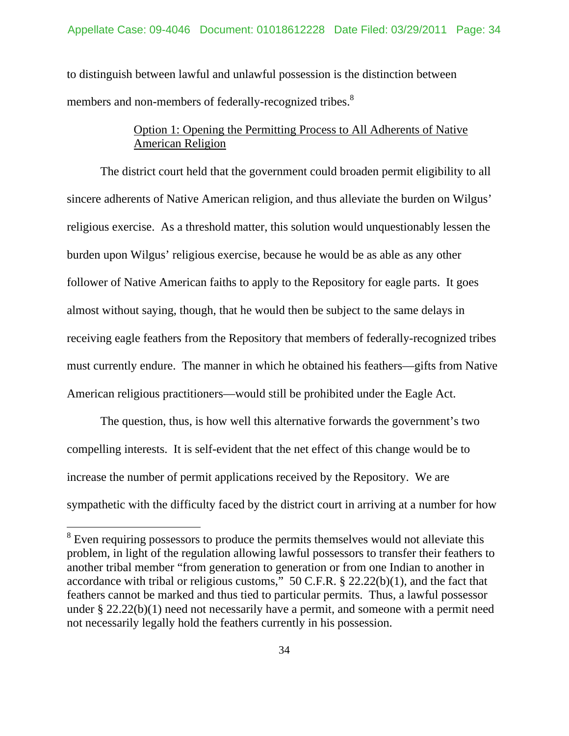to distinguish between lawful and unlawful possession is the distinction between members and non-members of federally-recognized tribes.<sup>8</sup>

# Option 1: Opening the Permitting Process to All Adherents of Native American Religion

 The district court held that the government could broaden permit eligibility to all sincere adherents of Native American religion, and thus alleviate the burden on Wilgus' religious exercise. As a threshold matter, this solution would unquestionably lessen the burden upon Wilgus' religious exercise, because he would be as able as any other follower of Native American faiths to apply to the Repository for eagle parts. It goes almost without saying, though, that he would then be subject to the same delays in receiving eagle feathers from the Repository that members of federally-recognized tribes must currently endure. The manner in which he obtained his feathers—gifts from Native American religious practitioners—would still be prohibited under the Eagle Act.

 The question, thus, is how well this alternative forwards the government's two compelling interests. It is self-evident that the net effect of this change would be to increase the number of permit applications received by the Repository. We are sympathetic with the difficulty faced by the district court in arriving at a number for how

 $\overline{a}$ 

 $8$  Even requiring possessors to produce the permits themselves would not alleviate this problem, in light of the regulation allowing lawful possessors to transfer their feathers to another tribal member "from generation to generation or from one Indian to another in accordance with tribal or religious customs," 50 C.F.R. § 22.22(b)(1), and the fact that feathers cannot be marked and thus tied to particular permits. Thus, a lawful possessor under § 22.22(b)(1) need not necessarily have a permit, and someone with a permit need not necessarily legally hold the feathers currently in his possession.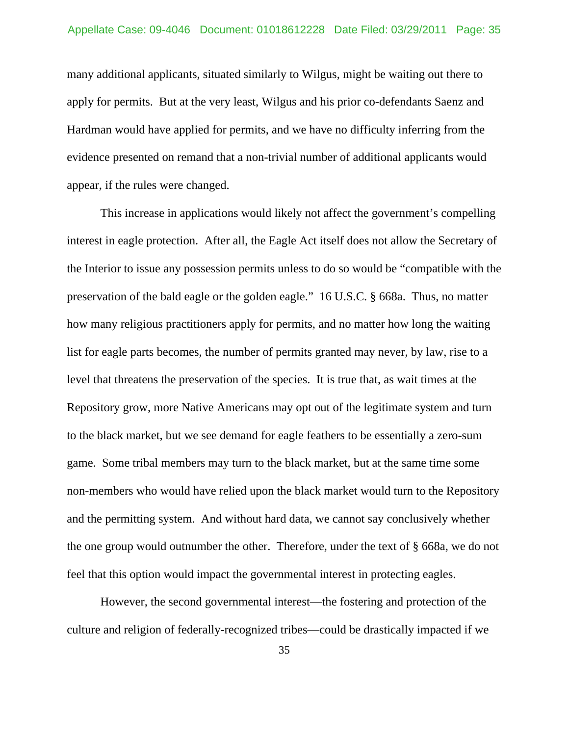many additional applicants, situated similarly to Wilgus, might be waiting out there to apply for permits. But at the very least, Wilgus and his prior co-defendants Saenz and Hardman would have applied for permits, and we have no difficulty inferring from the evidence presented on remand that a non-trivial number of additional applicants would appear, if the rules were changed.

 This increase in applications would likely not affect the government's compelling interest in eagle protection. After all, the Eagle Act itself does not allow the Secretary of the Interior to issue any possession permits unless to do so would be "compatible with the preservation of the bald eagle or the golden eagle." 16 U.S.C. § 668a. Thus, no matter how many religious practitioners apply for permits, and no matter how long the waiting list for eagle parts becomes, the number of permits granted may never, by law, rise to a level that threatens the preservation of the species. It is true that, as wait times at the Repository grow, more Native Americans may opt out of the legitimate system and turn to the black market, but we see demand for eagle feathers to be essentially a zero-sum game. Some tribal members may turn to the black market, but at the same time some non-members who would have relied upon the black market would turn to the Repository and the permitting system. And without hard data, we cannot say conclusively whether the one group would outnumber the other. Therefore, under the text of § 668a, we do not feel that this option would impact the governmental interest in protecting eagles.

 However, the second governmental interest—the fostering and protection of the culture and religion of federally-recognized tribes—could be drastically impacted if we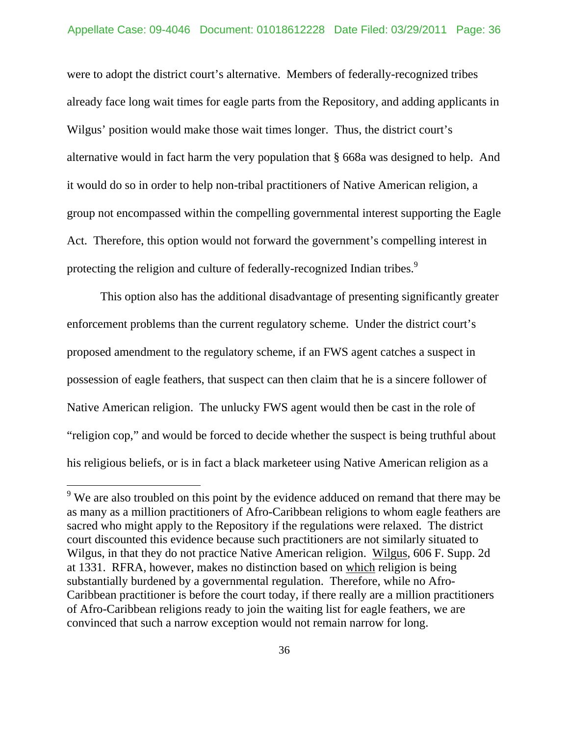were to adopt the district court's alternative. Members of federally-recognized tribes already face long wait times for eagle parts from the Repository, and adding applicants in Wilgus' position would make those wait times longer. Thus, the district court's alternative would in fact harm the very population that § 668a was designed to help. And it would do so in order to help non-tribal practitioners of Native American religion, a group not encompassed within the compelling governmental interest supporting the Eagle Act. Therefore, this option would not forward the government's compelling interest in protecting the religion and culture of federally-recognized Indian tribes.<sup>9</sup>

 This option also has the additional disadvantage of presenting significantly greater enforcement problems than the current regulatory scheme. Under the district court's proposed amendment to the regulatory scheme, if an FWS agent catches a suspect in possession of eagle feathers, that suspect can then claim that he is a sincere follower of Native American religion. The unlucky FWS agent would then be cast in the role of "religion cop," and would be forced to decide whether the suspect is being truthful about his religious beliefs, or is in fact a black marketeer using Native American religion as a

 $\overline{a}$ 

 $9$  We are also troubled on this point by the evidence adduced on remand that there may be as many as a million practitioners of Afro-Caribbean religions to whom eagle feathers are sacred who might apply to the Repository if the regulations were relaxed. The district court discounted this evidence because such practitioners are not similarly situated to Wilgus, in that they do not practice Native American religion. Wilgus, 606 F. Supp. 2d at 1331. RFRA, however, makes no distinction based on which religion is being substantially burdened by a governmental regulation. Therefore, while no Afro-Caribbean practitioner is before the court today, if there really are a million practitioners of Afro-Caribbean religions ready to join the waiting list for eagle feathers, we are convinced that such a narrow exception would not remain narrow for long.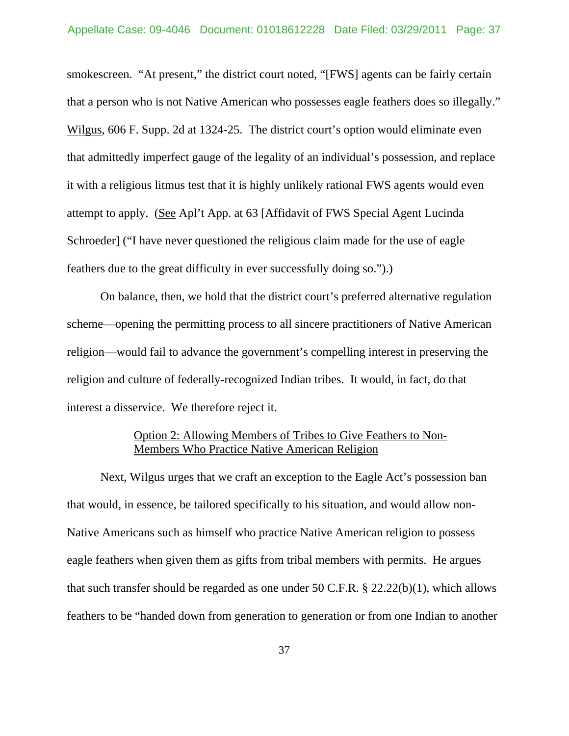smokescreen. "At present," the district court noted, "[FWS] agents can be fairly certain that a person who is not Native American who possesses eagle feathers does so illegally." Wilgus, 606 F. Supp. 2d at 1324-25. The district court's option would eliminate even that admittedly imperfect gauge of the legality of an individual's possession, and replace it with a religious litmus test that it is highly unlikely rational FWS agents would even attempt to apply. (See Apl't App. at 63 [Affidavit of FWS Special Agent Lucinda Schroeder] ("I have never questioned the religious claim made for the use of eagle feathers due to the great difficulty in ever successfully doing so.").)

 On balance, then, we hold that the district court's preferred alternative regulation scheme—opening the permitting process to all sincere practitioners of Native American religion—would fail to advance the government's compelling interest in preserving the religion and culture of federally-recognized Indian tribes. It would, in fact, do that interest a disservice. We therefore reject it.

# Option 2: Allowing Members of Tribes to Give Feathers to Non-Members Who Practice Native American Religion

 Next, Wilgus urges that we craft an exception to the Eagle Act's possession ban that would, in essence, be tailored specifically to his situation, and would allow non-Native Americans such as himself who practice Native American religion to possess eagle feathers when given them as gifts from tribal members with permits. He argues that such transfer should be regarded as one under 50 C.F.R.  $\S$  22.22(b)(1), which allows feathers to be "handed down from generation to generation or from one Indian to another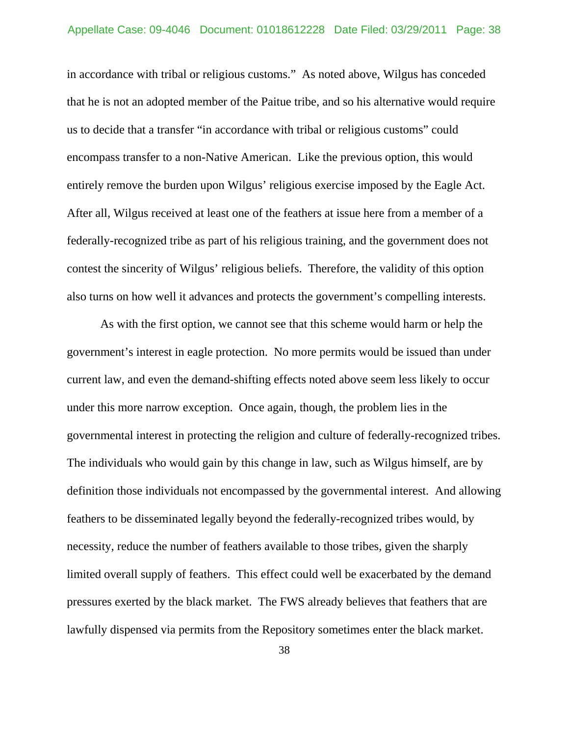in accordance with tribal or religious customs." As noted above, Wilgus has conceded that he is not an adopted member of the Paitue tribe, and so his alternative would require us to decide that a transfer "in accordance with tribal or religious customs" could encompass transfer to a non-Native American. Like the previous option, this would entirely remove the burden upon Wilgus' religious exercise imposed by the Eagle Act. After all, Wilgus received at least one of the feathers at issue here from a member of a federally-recognized tribe as part of his religious training, and the government does not contest the sincerity of Wilgus' religious beliefs. Therefore, the validity of this option also turns on how well it advances and protects the government's compelling interests.

 As with the first option, we cannot see that this scheme would harm or help the government's interest in eagle protection. No more permits would be issued than under current law, and even the demand-shifting effects noted above seem less likely to occur under this more narrow exception. Once again, though, the problem lies in the governmental interest in protecting the religion and culture of federally-recognized tribes. The individuals who would gain by this change in law, such as Wilgus himself, are by definition those individuals not encompassed by the governmental interest. And allowing feathers to be disseminated legally beyond the federally-recognized tribes would, by necessity, reduce the number of feathers available to those tribes, given the sharply limited overall supply of feathers. This effect could well be exacerbated by the demand pressures exerted by the black market. The FWS already believes that feathers that are lawfully dispensed via permits from the Repository sometimes enter the black market.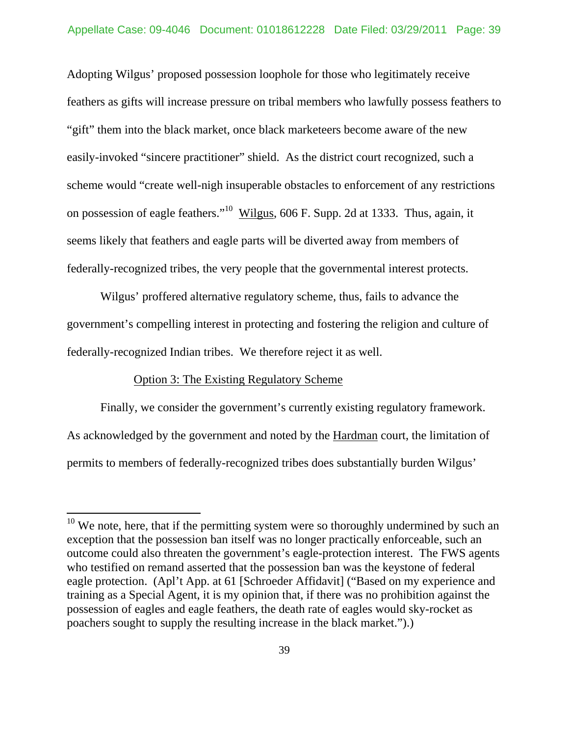Adopting Wilgus' proposed possession loophole for those who legitimately receive feathers as gifts will increase pressure on tribal members who lawfully possess feathers to "gift" them into the black market, once black marketeers become aware of the new easily-invoked "sincere practitioner" shield. As the district court recognized, such a scheme would "create well-nigh insuperable obstacles to enforcement of any restrictions on possession of eagle feathers."10 Wilgus, 606 F. Supp. 2d at 1333. Thus, again, it seems likely that feathers and eagle parts will be diverted away from members of federally-recognized tribes, the very people that the governmental interest protects.

 Wilgus' proffered alternative regulatory scheme, thus, fails to advance the government's compelling interest in protecting and fostering the religion and culture of federally-recognized Indian tribes. We therefore reject it as well.

#### Option 3: The Existing Regulatory Scheme

 $\overline{a}$ 

 Finally, we consider the government's currently existing regulatory framework. As acknowledged by the government and noted by the Hardman court, the limitation of permits to members of federally-recognized tribes does substantially burden Wilgus'

 $10$  We note, here, that if the permitting system were so thoroughly undermined by such an exception that the possession ban itself was no longer practically enforceable, such an outcome could also threaten the government's eagle-protection interest. The FWS agents who testified on remand asserted that the possession ban was the keystone of federal eagle protection. (Apl't App. at 61 [Schroeder Affidavit] ("Based on my experience and training as a Special Agent, it is my opinion that, if there was no prohibition against the possession of eagles and eagle feathers, the death rate of eagles would sky-rocket as poachers sought to supply the resulting increase in the black market.").)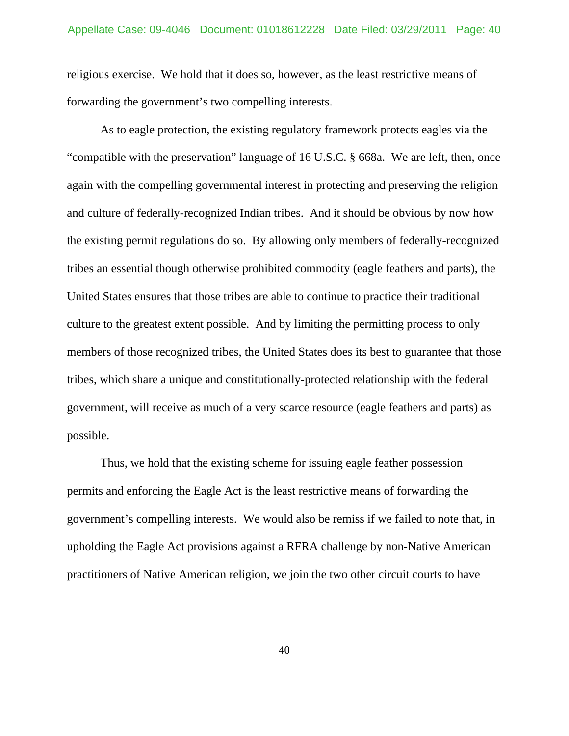religious exercise. We hold that it does so, however, as the least restrictive means of forwarding the government's two compelling interests.

 As to eagle protection, the existing regulatory framework protects eagles via the "compatible with the preservation" language of 16 U.S.C. § 668a. We are left, then, once again with the compelling governmental interest in protecting and preserving the religion and culture of federally-recognized Indian tribes. And it should be obvious by now how the existing permit regulations do so. By allowing only members of federally-recognized tribes an essential though otherwise prohibited commodity (eagle feathers and parts), the United States ensures that those tribes are able to continue to practice their traditional culture to the greatest extent possible. And by limiting the permitting process to only members of those recognized tribes, the United States does its best to guarantee that those tribes, which share a unique and constitutionally-protected relationship with the federal government, will receive as much of a very scarce resource (eagle feathers and parts) as possible.

 Thus, we hold that the existing scheme for issuing eagle feather possession permits and enforcing the Eagle Act is the least restrictive means of forwarding the government's compelling interests. We would also be remiss if we failed to note that, in upholding the Eagle Act provisions against a RFRA challenge by non-Native American practitioners of Native American religion, we join the two other circuit courts to have

40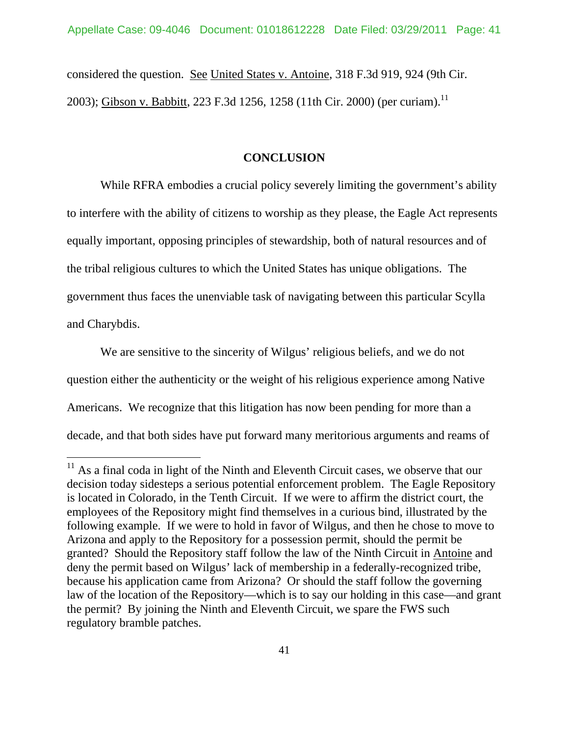considered the question. See United States v. Antoine, 318 F.3d 919, 924 (9th Cir. 2003); Gibson v. Babbitt, 223 F.3d 1256, 1258 (11th Cir. 2000) (per curiam).<sup>11</sup>

### **CONCLUSION**

While RFRA embodies a crucial policy severely limiting the government's ability to interfere with the ability of citizens to worship as they please, the Eagle Act represents equally important, opposing principles of stewardship, both of natural resources and of the tribal religious cultures to which the United States has unique obligations. The government thus faces the unenviable task of navigating between this particular Scylla and Charybdis.

We are sensitive to the sincerity of Wilgus' religious beliefs, and we do not question either the authenticity or the weight of his religious experience among Native Americans. We recognize that this litigation has now been pending for more than a decade, and that both sides have put forward many meritorious arguments and reams of

 $\overline{a}$ 

 $11$  As a final coda in light of the Ninth and Eleventh Circuit cases, we observe that our decision today sidesteps a serious potential enforcement problem. The Eagle Repository is located in Colorado, in the Tenth Circuit. If we were to affirm the district court, the employees of the Repository might find themselves in a curious bind, illustrated by the following example. If we were to hold in favor of Wilgus, and then he chose to move to Arizona and apply to the Repository for a possession permit, should the permit be granted? Should the Repository staff follow the law of the Ninth Circuit in Antoine and deny the permit based on Wilgus' lack of membership in a federally-recognized tribe, because his application came from Arizona? Or should the staff follow the governing law of the location of the Repository—which is to say our holding in this case—and grant the permit? By joining the Ninth and Eleventh Circuit, we spare the FWS such regulatory bramble patches.